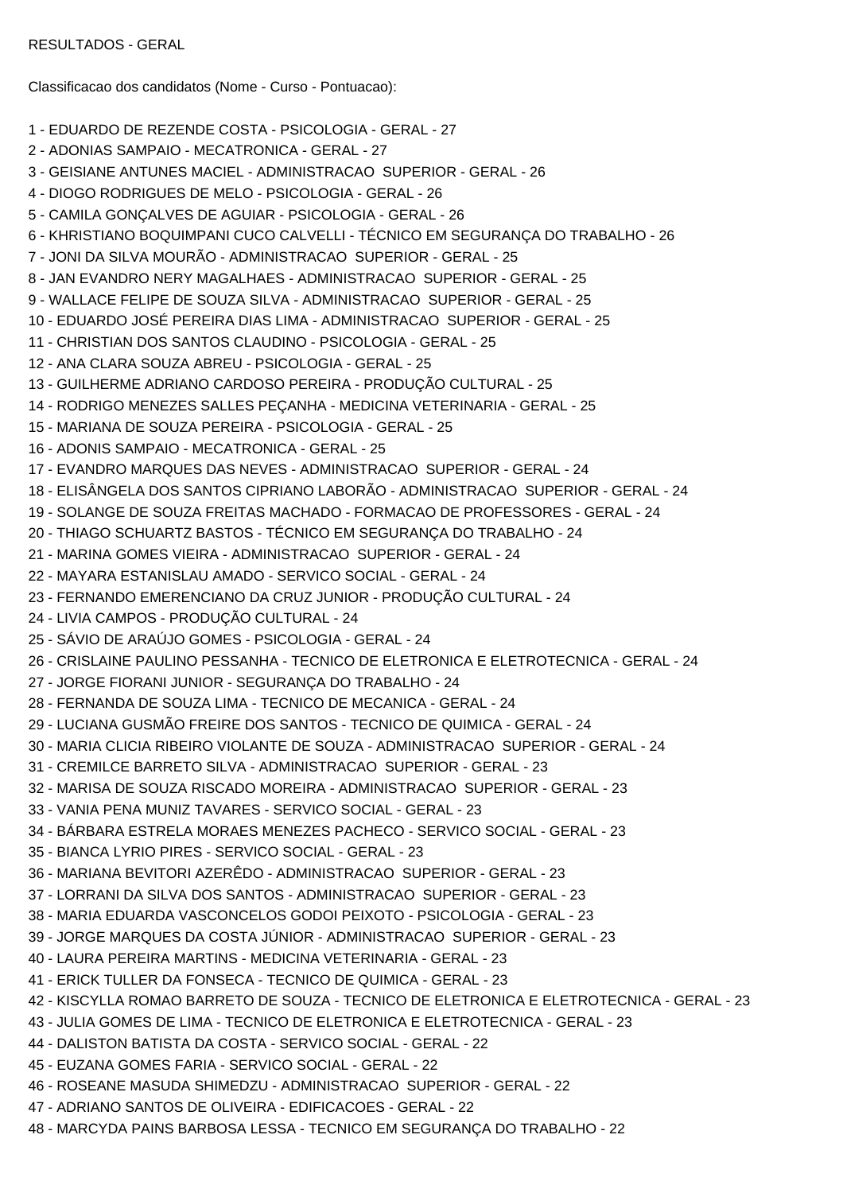RESULTADOS - GERAL

Classificacao dos candidatos (Nome - Curso - Pontuacao):

- 1 EDUARDO DE REZENDE COSTA PSICOLOGIA GERAL 27
- 2 ADONIAS SAMPAIO MECATRONICA GERAL 27
- 3 GEISIANE ANTUNES MACIEL ADMINISTRACAO SUPERIOR GERAL 26
- 4 DIOGO RODRIGUES DE MELO PSICOLOGIA GERAL 26
- 5 CAMILA GONÇALVES DE AGUIAR PSICOLOGIA GERAL 26
- 6 KHRISTIANO BOQUIMPANI CUCO CALVELLI TÉCNICO EM SEGURANÇA DO TRABALHO 26
- 7 JONI DA SILVA MOURÃO ADMINISTRACAO SUPERIOR GERAL 25
- 8 JAN EVANDRO NERY MAGALHAES ADMINISTRACAO SUPERIOR GERAL 25
- 9 WALLACE FELIPE DE SOUZA SILVA ADMINISTRACAO SUPERIOR GERAL 25
- 10 EDUARDO JOSÉ PEREIRA DIAS LIMA ADMINISTRACAO SUPERIOR GERAL 25
- 11 CHRISTIAN DOS SANTOS CLAUDINO PSICOLOGIA GERAL 25
- 12 ANA CLARA SOUZA ABREU PSICOLOGIA GERAL 25
- 13 GUILHERME ADRIANO CARDOSO PEREIRA PRODUÇÃO CULTURAL 25
- 14 RODRIGO MENEZES SALLES PEÇANHA MEDICINA VETERINARIA GERAL 25
- 15 MARIANA DE SOUZA PEREIRA PSICOLOGIA GERAL 25
- 16 ADONIS SAMPAIO MECATRONICA GERAL 25
- 17 EVANDRO MARQUES DAS NEVES ADMINISTRACAO SUPERIOR GERAL 24
- 18 ELISÂNGELA DOS SANTOS CIPRIANO LABORÃO ADMINISTRACAO SUPERIOR GERAL 24
- 19 SOLANGE DE SOUZA FREITAS MACHADO FORMACAO DE PROFESSORES GERAL 24
- 20 THIAGO SCHUARTZ BASTOS TÉCNICO EM SEGURANÇA DO TRABALHO 24
- 21 MARINA GOMES VIEIRA ADMINISTRACAO SUPERIOR GERAL 24
- 22 MAYARA ESTANISLAU AMADO SERVICO SOCIAL GERAL 24
- 23 FERNANDO EMERENCIANO DA CRUZ JUNIOR PRODUÇÃO CULTURAL 24
- 24 LIVIA CAMPOS PRODUÇÃO CULTURAL 24
- 25 SÁVIO DE ARAÚJO GOMES PSICOLOGIA GERAL 24
- 26 CRISLAINE PAULINO PESSANHA TECNICO DE ELETRONICA E ELETROTECNICA GERAL 24
- 27 JORGE FIORANI JUNIOR SEGURANÇA DO TRABALHO 24
- 28 FERNANDA DE SOUZA LIMA TECNICO DE MECANICA GERAL 24
- 29 LUCIANA GUSMÃO FREIRE DOS SANTOS TECNICO DE QUIMICA GERAL 24
- 30 MARIA CLICIA RIBEIRO VIOLANTE DE SOUZA ADMINISTRACAO SUPERIOR GERAL 24
- 31 CREMILCE BARRETO SILVA ADMINISTRACAO SUPERIOR GERAL 23
- 32 MARISA DE SOUZA RISCADO MOREIRA ADMINISTRACAO SUPERIOR GERAL 23
- 33 VANIA PENA MUNIZ TAVARES SERVICO SOCIAL GERAL 23
- 34 BÁRBARA ESTRELA MORAES MENEZES PACHECO SERVICO SOCIAL GERAL 23
- 35 BIANCA LYRIO PIRES SERVICO SOCIAL GERAL 23
- 36 MARIANA BEVITORI AZERÊDO ADMINISTRACAO SUPERIOR GERAL 23
- 37 LORRANI DA SILVA DOS SANTOS ADMINISTRACAO SUPERIOR GERAL 23
- 38 MARIA EDUARDA VASCONCELOS GODOI PEIXOTO PSICOLOGIA GERAL 23
- 39 JORGE MARQUES DA COSTA JÚNIOR ADMINISTRACAO SUPERIOR GERAL 23
- 40 LAURA PEREIRA MARTINS MEDICINA VETERINARIA GERAL 23
- 41 ERICK TULLER DA FONSECA TECNICO DE QUIMICA GERAL 23
- 42 KISCYLLA ROMAO BARRETO DE SOUZA TECNICO DE ELETRONICA E ELETROTECNICA GERAL 23
- 43 JULIA GOMES DE LIMA TECNICO DE ELETRONICA E ELETROTECNICA GERAL 23
- 44 DALISTON BATISTA DA COSTA SERVICO SOCIAL GERAL 22
- 45 EUZANA GOMES FARIA SERVICO SOCIAL GERAL 22
- 46 ROSEANE MASUDA SHIMEDZU ADMINISTRACAO SUPERIOR GERAL 22
- 47 ADRIANO SANTOS DE OLIVEIRA EDIFICACOES GERAL 22
- 48 MARCYDA PAINS BARBOSA LESSA TECNICO EM SEGURANÇA DO TRABALHO 22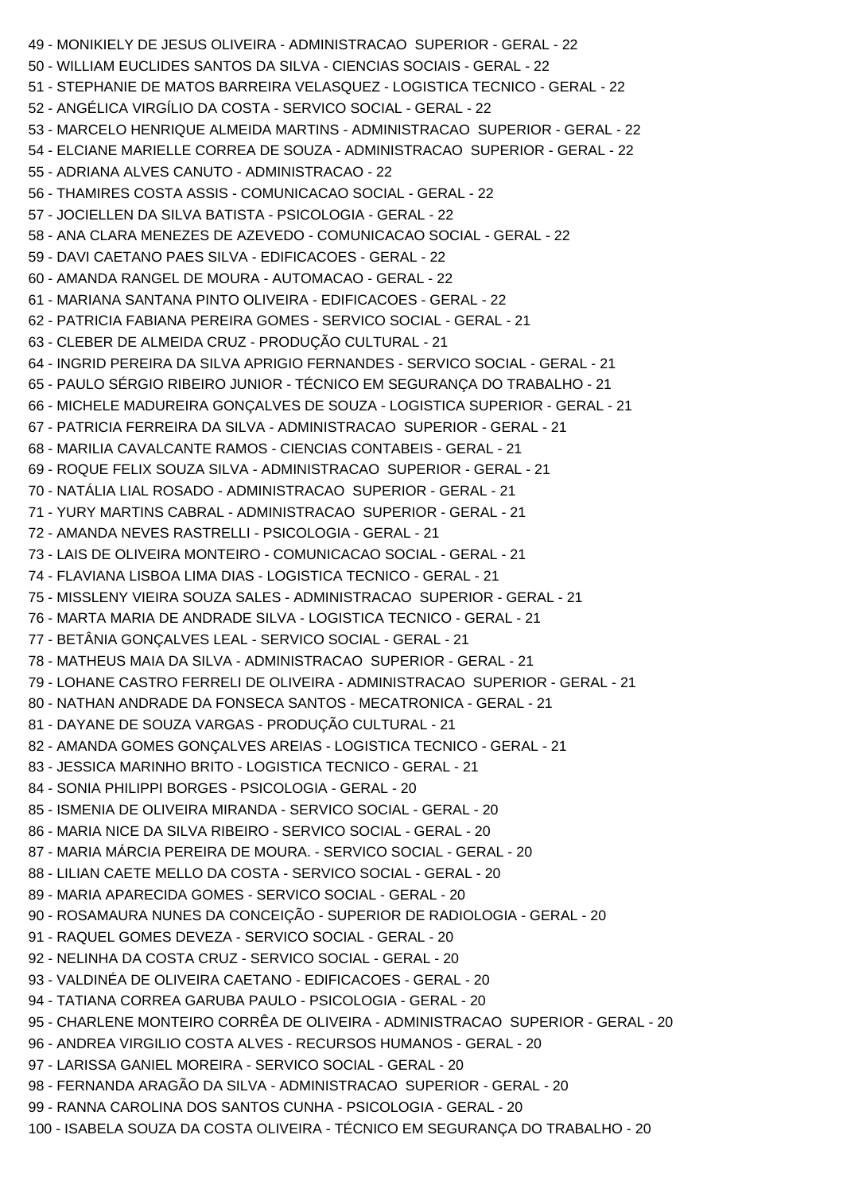49 - MONIKIELY DE JESUS OLIVEIRA - ADMINISTRACAO SUPERIOR - GERAL - 22 50 - WILLIAM EUCLIDES SANTOS DA SILVA - CIENCIAS SOCIAIS - GERAL - 22 51 - STEPHANIE DE MATOS BARREIRA VELASQUEZ - LOGISTICA TECNICO - GERAL - 22 52 - ANGÉLICA VIRGÍLIO DA COSTA - SERVICO SOCIAL - GERAL - 22 53 - MARCELO HENRIQUE ALMEIDA MARTINS - ADMINISTRACAO SUPERIOR - GERAL - 22 54 - ELCIANE MARIELLE CORREA DE SOUZA - ADMINISTRACAO SUPERIOR - GERAL - 22 55 - ADRIANA ALVES CANUTO - ADMINISTRACAO - 22 56 - THAMIRES COSTA ASSIS - COMUNICACAO SOCIAL - GERAL - 22 57 - JOCIELLEN DA SILVA BATISTA - PSICOLOGIA - GERAL - 22 58 - ANA CLARA MENEZES DE AZEVEDO - COMUNICACAO SOCIAL - GERAL - 22 59 - DAVI CAETANO PAES SILVA - EDIFICACOES - GERAL - 22 60 - AMANDA RANGEL DE MOURA - AUTOMACAO - GERAL - 22 61 - MARIANA SANTANA PINTO OLIVEIRA - EDIFICACOES - GERAL - 22 62 - PATRICIA FABIANA PEREIRA GOMES - SERVICO SOCIAL - GERAL - 21 63 - CLEBER DE ALMEIDA CRUZ - PRODUÇÃO CULTURAL - 21 64 - INGRID PEREIRA DA SILVA APRIGIO FERNANDES - SERVICO SOCIAL - GERAL - 21 65 - PAULO SÉRGIO RIBEIRO JUNIOR - TÉCNICO EM SEGURANÇA DO TRABALHO - 21 66 - MICHELE MADUREIRA GONÇALVES DE SOUZA - LOGISTICA SUPERIOR - GERAL - 21 67 - PATRICIA FERREIRA DA SILVA - ADMINISTRACAO SUPERIOR - GERAL - 21 68 - MARILIA CAVALCANTE RAMOS - CIENCIAS CONTABEIS - GERAL - 21 69 - ROQUE FELIX SOUZA SILVA - ADMINISTRACAO SUPERIOR - GERAL - 21 70 - NATÁLIA LIAL ROSADO - ADMINISTRACAO SUPERIOR - GERAL - 21 71 - YURY MARTINS CABRAL - ADMINISTRACAO SUPERIOR - GERAL - 21 72 - AMANDA NEVES RASTRELLI - PSICOLOGIA - GERAL - 21 73 - LAIS DE OLIVEIRA MONTEIRO - COMUNICACAO SOCIAL - GERAL - 21 74 - FLAVIANA LISBOA LIMA DIAS - LOGISTICA TECNICO - GERAL - 21 75 - MISSLENY VIEIRA SOUZA SALES - ADMINISTRACAO SUPERIOR - GERAL - 21 76 - MARTA MARIA DE ANDRADE SILVA - LOGISTICA TECNICO - GERAL - 21 77 - BETÂNIA GONÇALVES LEAL - SERVICO SOCIAL - GERAL - 21 78 - MATHEUS MAIA DA SILVA - ADMINISTRACAO SUPERIOR - GERAL - 21 79 - LOHANE CASTRO FERRELI DE OLIVEIRA - ADMINISTRACAO SUPERIOR - GERAL - 21 80 - NATHAN ANDRADE DA FONSECA SANTOS - MECATRONICA - GERAL - 21 81 - DAYANE DE SOUZA VARGAS - PRODUÇÃO CULTURAL - 21 82 - AMANDA GOMES GONÇALVES AREIAS - LOGISTICA TECNICO - GERAL - 21 83 - JESSICA MARINHO BRITO - LOGISTICA TECNICO - GERAL - 21 84 - SONIA PHILIPPI BORGES - PSICOLOGIA - GERAL - 20 85 - ISMENIA DE OLIVEIRA MIRANDA - SERVICO SOCIAL - GERAL - 20 86 - MARIA NICE DA SILVA RIBEIRO - SERVICO SOCIAL - GERAL - 20 87 - MARIA MÁRCIA PEREIRA DE MOURA. - SERVICO SOCIAL - GERAL - 20 88 - LILIAN CAETE MELLO DA COSTA - SERVICO SOCIAL - GERAL - 20 89 - MARIA APARECIDA GOMES - SERVICO SOCIAL - GERAL - 20 90 - ROSAMAURA NUNES DA CONCEIÇÃO - SUPERIOR DE RADIOLOGIA - GERAL - 20 91 - RAQUEL GOMES DEVEZA - SERVICO SOCIAL - GERAL - 20 92 - NELINHA DA COSTA CRUZ - SERVICO SOCIAL - GERAL - 20 93 - VALDINÉA DE OLIVEIRA CAETANO - EDIFICACOES - GERAL - 20 94 - TATIANA CORREA GARUBA PAULO - PSICOLOGIA - GERAL - 20 95 - CHARLENE MONTEIRO CORRÊA DE OLIVEIRA - ADMINISTRACAO SUPERIOR - GERAL - 20 96 - ANDREA VIRGILIO COSTA ALVES - RECURSOS HUMANOS - GERAL - 20 97 - LARISSA GANIEL MOREIRA - SERVICO SOCIAL - GERAL - 20 98 - FERNANDA ARAGÃO DA SILVA - ADMINISTRACAO SUPERIOR - GERAL - 20 99 - RANNA CAROLINA DOS SANTOS CUNHA - PSICOLOGIA - GERAL - 20 100 - ISABELA SOUZA DA COSTA OLIVEIRA - TÉCNICO EM SEGURANÇA DO TRABALHO - 20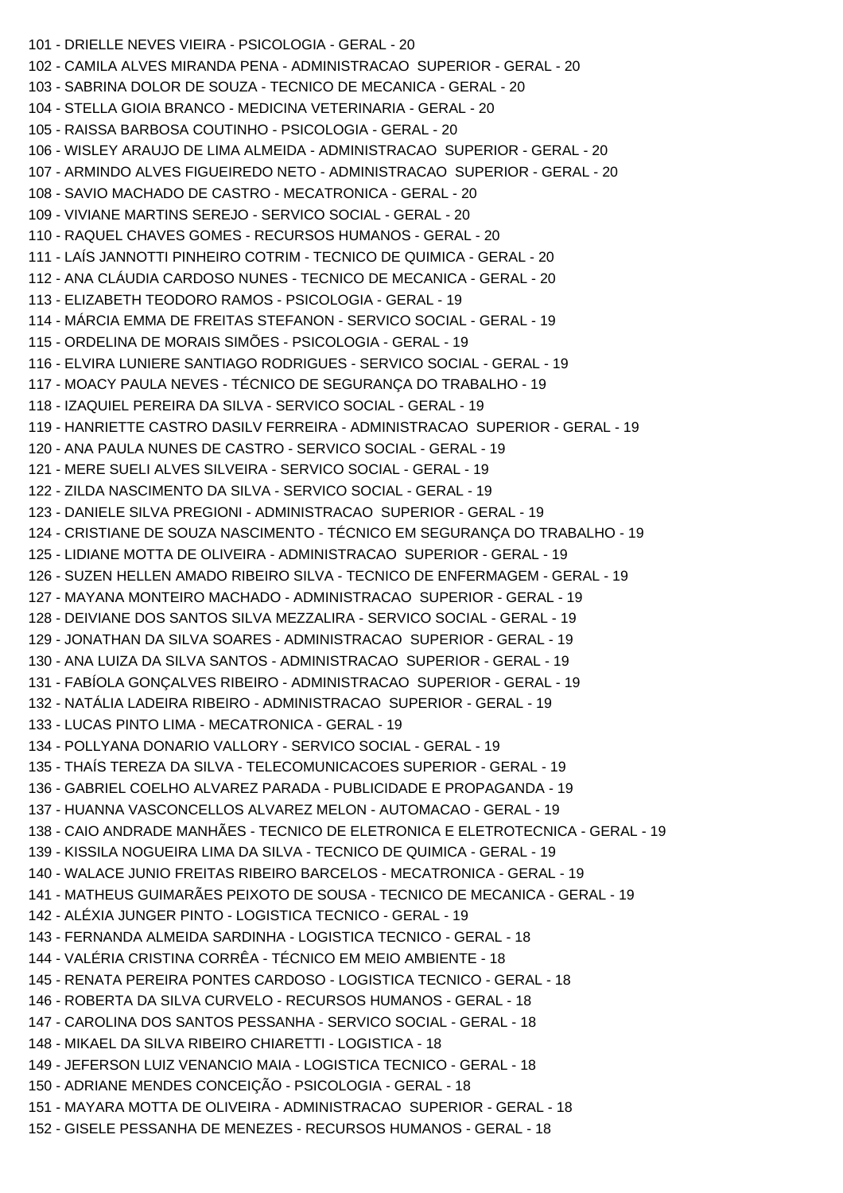101 - DRIELLE NEVES VIEIRA - PSICOLOGIA - GERAL - 20 102 - CAMILA ALVES MIRANDA PENA - ADMINISTRACAO SUPERIOR - GERAL - 20 103 - SABRINA DOLOR DE SOUZA - TECNICO DE MECANICA - GERAL - 20 104 - STELLA GIOIA BRANCO - MEDICINA VETERINARIA - GERAL - 20 105 - RAISSA BARBOSA COUTINHO - PSICOLOGIA - GERAL - 20 106 - WISLEY ARAUJO DE LIMA ALMEIDA - ADMINISTRACAO SUPERIOR - GERAL - 20 107 - ARMINDO ALVES FIGUEIREDO NETO - ADMINISTRACAO SUPERIOR - GERAL - 20 108 - SAVIO MACHADO DE CASTRO - MECATRONICA - GERAL - 20 109 - VIVIANE MARTINS SEREJO - SERVICO SOCIAL - GERAL - 20 110 - RAQUEL CHAVES GOMES - RECURSOS HUMANOS - GERAL - 20 111 - LAÍS JANNOTTI PINHEIRO COTRIM - TECNICO DE QUIMICA - GERAL - 20 112 - ANA CLÁUDIA CARDOSO NUNES - TECNICO DE MECANICA - GERAL - 20 113 - ELIZABETH TEODORO RAMOS - PSICOLOGIA - GERAL - 19 114 - MÁRCIA EMMA DE FREITAS STEFANON - SERVICO SOCIAL - GERAL - 19 115 - ORDELINA DE MORAIS SIMÕES - PSICOLOGIA - GERAL - 19 116 - ELVIRA LUNIERE SANTIAGO RODRIGUES - SERVICO SOCIAL - GERAL - 19 117 - MOACY PAULA NEVES - TÉCNICO DE SEGURANÇA DO TRABALHO - 19 118 - IZAQUIEL PEREIRA DA SILVA - SERVICO SOCIAL - GERAL - 19 119 - HANRIETTE CASTRO DASILV FERREIRA - ADMINISTRACAO SUPERIOR - GERAL - 19 120 - ANA PAULA NUNES DE CASTRO - SERVICO SOCIAL - GERAL - 19 121 - MERE SUELI ALVES SILVEIRA - SERVICO SOCIAL - GERAL - 19 122 - ZILDA NASCIMENTO DA SILVA - SERVICO SOCIAL - GERAL - 19 123 - DANIELE SILVA PREGIONI - ADMINISTRACAO SUPERIOR - GERAL - 19 124 - CRISTIANE DE SOUZA NASCIMENTO - TÉCNICO EM SEGURANÇA DO TRABALHO - 19 125 - LIDIANE MOTTA DE OLIVEIRA - ADMINISTRACAO SUPERIOR - GERAL - 19 126 - SUZEN HELLEN AMADO RIBEIRO SILVA - TECNICO DE ENFERMAGEM - GERAL - 19 127 - MAYANA MONTEIRO MACHADO - ADMINISTRACAO SUPERIOR - GERAL - 19 128 - DEIVIANE DOS SANTOS SILVA MEZZALIRA - SERVICO SOCIAL - GERAL - 19 129 - JONATHAN DA SILVA SOARES - ADMINISTRACAO SUPERIOR - GERAL - 19 130 - ANA LUIZA DA SILVA SANTOS - ADMINISTRACAO SUPERIOR - GERAL - 19 131 - FABÍOLA GONÇALVES RIBEIRO - ADMINISTRACAO SUPERIOR - GERAL - 19 132 - NATÁLIA LADEIRA RIBEIRO - ADMINISTRACAO SUPERIOR - GERAL - 19 133 - LUCAS PINTO LIMA - MECATRONICA - GERAL - 19 134 - POLLYANA DONARIO VALLORY - SERVICO SOCIAL - GERAL - 19 135 - THAÍS TEREZA DA SILVA - TELECOMUNICACOES SUPERIOR - GERAL - 19 136 - GABRIEL COELHO ALVAREZ PARADA - PUBLICIDADE E PROPAGANDA - 19 137 - HUANNA VASCONCELLOS ALVAREZ MELON - AUTOMACAO - GERAL - 19 138 - CAIO ANDRADE MANHÃES - TECNICO DE ELETRONICA E ELETROTECNICA - GERAL - 19 139 - KISSILA NOGUEIRA LIMA DA SILVA - TECNICO DE QUIMICA - GERAL - 19 140 - WALACE JUNIO FREITAS RIBEIRO BARCELOS - MECATRONICA - GERAL - 19 141 - MATHEUS GUIMARÃES PEIXOTO DE SOUSA - TECNICO DE MECANICA - GERAL - 19 142 - ALÉXIA JUNGER PINTO - LOGISTICA TECNICO - GERAL - 19 143 - FERNANDA ALMEIDA SARDINHA - LOGISTICA TECNICO - GERAL - 18 144 - VALÉRIA CRISTINA CORRÊA - TÉCNICO EM MEIO AMBIENTE - 18 145 - RENATA PEREIRA PONTES CARDOSO - LOGISTICA TECNICO - GERAL - 18 146 - ROBERTA DA SILVA CURVELO - RECURSOS HUMANOS - GERAL - 18 147 - CAROLINA DOS SANTOS PESSANHA - SERVICO SOCIAL - GERAL - 18 148 - MIKAEL DA SILVA RIBEIRO CHIARETTI - LOGISTICA - 18 149 - JEFERSON LUIZ VENANCIO MAIA - LOGISTICA TECNICO - GERAL - 18 150 - ADRIANE MENDES CONCEIÇÃO - PSICOLOGIA - GERAL - 18 151 - MAYARA MOTTA DE OLIVEIRA - ADMINISTRACAO SUPERIOR - GERAL - 18 152 - GISELE PESSANHA DE MENEZES - RECURSOS HUMANOS - GERAL - 18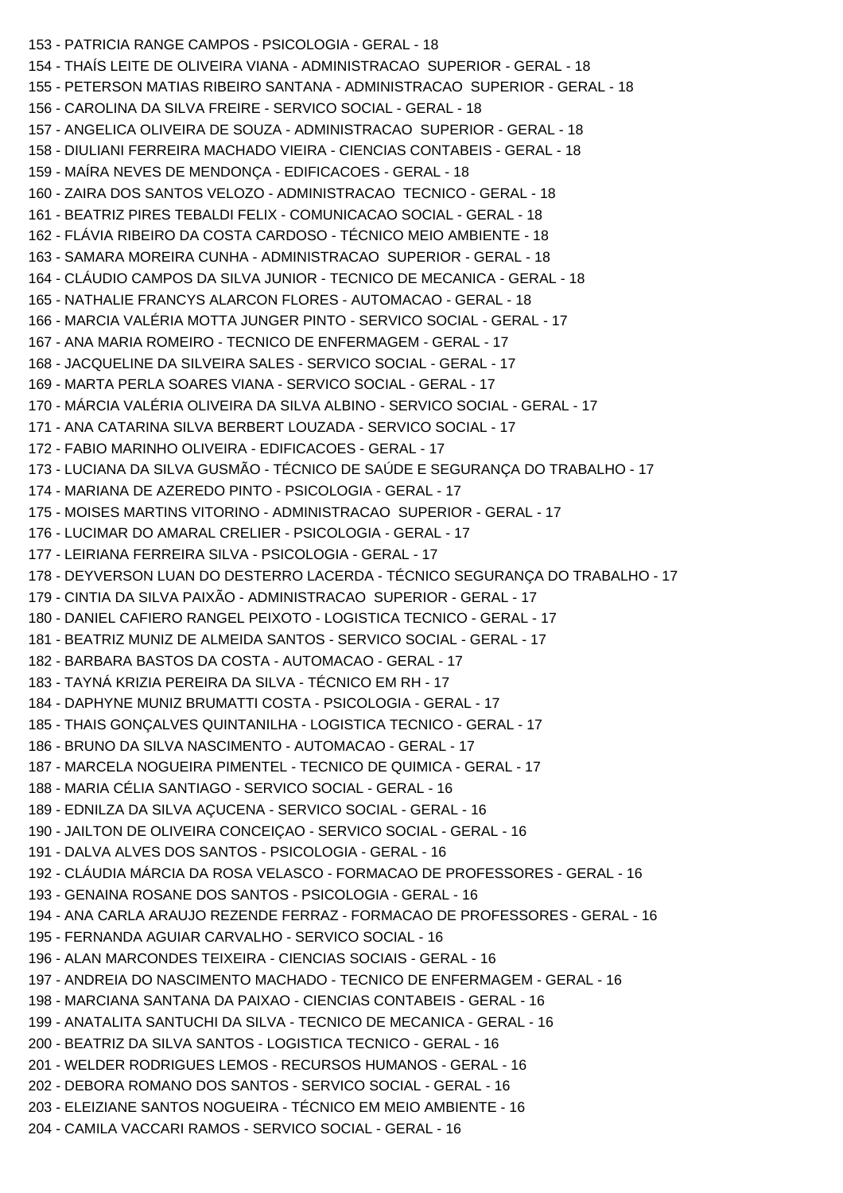```
153 - PATRICIA RANGE CAMPOS - PSICOLOGIA - GERAL - 18
154 - THAÍS LEITE DE OLIVEIRA VIANA - ADMINISTRACAO SUPERIOR - GERAL - 18
155 - PETERSON MATIAS RIBEIRO SANTANA - ADMINISTRACAO SUPERIOR - GERAL - 18
156 - CAROLINA DA SILVA FREIRE - SERVICO SOCIAL - GERAL - 18
157 - ANGELICA OLIVEIRA DE SOUZA - ADMINISTRACAO SUPERIOR - GERAL - 18
158 - DIULIANI FERREIRA MACHADO VIEIRA - CIENCIAS CONTABEIS - GERAL - 18
159 - MAÍRA NEVES DE MENDONÇA - EDIFICACOES - GERAL - 18
160 - ZAIRA DOS SANTOS VELOZO - ADMINISTRACAO TECNICO - GERAL - 18
161 - BEATRIZ PIRES TEBALDI FELIX - COMUNICACAO SOCIAL - GERAL - 18
162 - FLÁVIA RIBEIRO DA COSTA CARDOSO - TÉCNICO MEIO AMBIENTE - 18
163 - SAMARA MOREIRA CUNHA - ADMINISTRACAO SUPERIOR - GERAL - 18
164 - CLÁUDIO CAMPOS DA SILVA JUNIOR - TECNICO DE MECANICA - GERAL - 18
165 - NATHALIE FRANCYS ALARCON FLORES - AUTOMACAO - GERAL - 18
166 - MARCIA VALÉRIA MOTTA JUNGER PINTO - SERVICO SOCIAL - GERAL - 17
167 - ANA MARIA ROMEIRO - TECNICO DE ENFERMAGEM - GERAL - 17
168 - JACQUELINE DA SILVEIRA SALES - SERVICO SOCIAL - GERAL - 17
169 - MARTA PERLA SOARES VIANA - SERVICO SOCIAL - GERAL - 17
170 - MÁRCIA VALÉRIA OLIVEIRA DA SILVA ALBINO - SERVICO SOCIAL - GERAL - 17
171 - ANA CATARINA SILVA BERBERT LOUZADA - SERVICO SOCIAL - 17
172 - FABIO MARINHO OLIVEIRA - EDIFICACOES - GERAL - 17
173 - LUCIANA DA SILVA GUSMÃO - TÉCNICO DE SAÚDE E SEGURANÇA DO TRABALHO - 17
174 - MARIANA DE AZEREDO PINTO - PSICOLOGIA - GERAL - 17
175 - MOISES MARTINS VITORINO - ADMINISTRACAO SUPERIOR - GERAL - 17
176 - LUCIMAR DO AMARAL CRELIER - PSICOLOGIA - GERAL - 17
177 - LEIRIANA FERREIRA SILVA - PSICOLOGIA - GERAL - 17
178 - DEYVERSON LUAN DO DESTERRO LACERDA - TÉCNICO SEGURANÇA DO TRABALHO - 17
179 - CINTIA DA SILVA PAIXÃO - ADMINISTRACAO SUPERIOR - GERAL - 17
180 - DANIEL CAFIERO RANGEL PEIXOTO - LOGISTICA TECNICO - GERAL - 17
181 - BEATRIZ MUNIZ DE ALMEIDA SANTOS - SERVICO SOCIAL - GERAL - 17
182 - BARBARA BASTOS DA COSTA - AUTOMACAO - GERAL - 17
183 - TAYNÁ KRIZIA PEREIRA DA SILVA - TÉCNICO EM RH - 17
184 - DAPHYNE MUNIZ BRUMATTI COSTA - PSICOLOGIA - GERAL - 17
185 - THAIS GONÇALVES QUINTANILHA - LOGISTICA TECNICO - GERAL - 17
186 - BRUNO DA SILVA NASCIMENTO - AUTOMACAO - GERAL - 17
187 - MARCELA NOGUEIRA PIMENTEL - TECNICO DE QUIMICA - GERAL - 17
188 - MARIA CÉLIA SANTIAGO - SERVICO SOCIAL - GERAL - 16
189 - EDNILZA DA SILVA AÇUCENA - SERVICO SOCIAL - GERAL - 16
190 - JAILTON DE OLIVEIRA CONCEIÇAO - SERVICO SOCIAL - GERAL - 16
191 - DALVA ALVES DOS SANTOS - PSICOLOGIA - GERAL - 16
192 - CLÁUDIA MÁRCIA DA ROSA VELASCO - FORMACAO DE PROFESSORES - GERAL - 16
193 - GENAINA ROSANE DOS SANTOS - PSICOLOGIA - GERAL - 16
194 - ANA CARLA ARAUJO REZENDE FERRAZ - FORMACAO DE PROFESSORES - GERAL - 16
195 - FERNANDA AGUIAR CARVALHO - SERVICO SOCIAL - 16
196 - ALAN MARCONDES TEIXEIRA - CIENCIAS SOCIAIS - GERAL - 16
197 - ANDREIA DO NASCIMENTO MACHADO - TECNICO DE ENFERMAGEM - GERAL - 16
198 - MARCIANA SANTANA DA PAIXAO - CIENCIAS CONTABEIS - GERAL - 16
199 - ANATALITA SANTUCHI DA SILVA - TECNICO DE MECANICA - GERAL - 16
200 - BEATRIZ DA SILVA SANTOS - LOGISTICA TECNICO - GERAL - 16
201 - WELDER RODRIGUES LEMOS - RECURSOS HUMANOS - GERAL - 16
202 - DEBORA ROMANO DOS SANTOS - SERVICO SOCIAL - GERAL - 16
203 - ELEIZIANE SANTOS NOGUEIRA - TÉCNICO EM MEIO AMBIENTE - 16
204 - CAMILA VACCARI RAMOS - SERVICO SOCIAL - GERAL - 16
```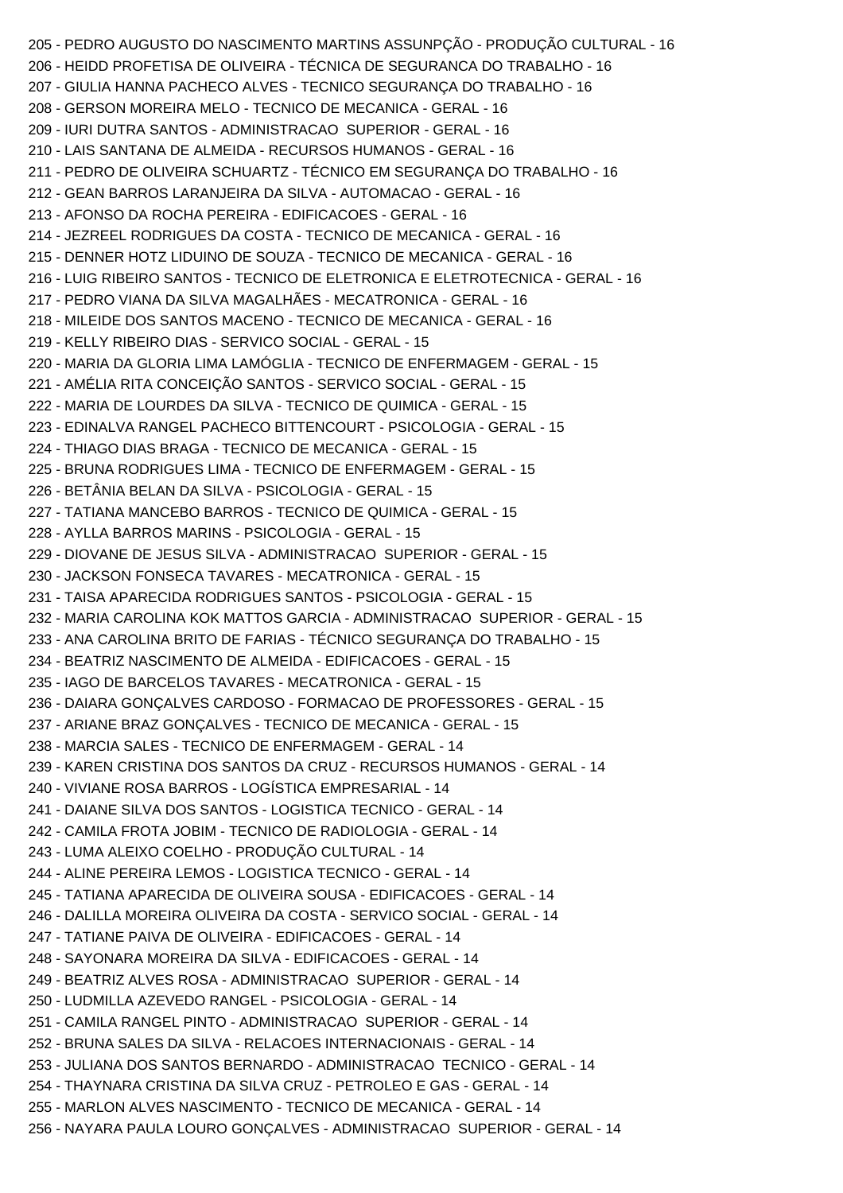205 - PEDRO AUGUSTO DO NASCIMENTO MARTINS ASSUNPÇÃO - PRODUÇÃO CULTURAL - 16 206 - HEIDD PROFETISA DE OLIVEIRA - TÉCNICA DE SEGURANCA DO TRABALHO - 16 207 - GIULIA HANNA PACHECO ALVES - TECNICO SEGURANÇA DO TRABALHO - 16 208 - GERSON MOREIRA MELO - TECNICO DE MECANICA - GERAL - 16 209 - IURI DUTRA SANTOS - ADMINISTRACAO SUPERIOR - GERAL - 16 210 - LAIS SANTANA DE ALMEIDA - RECURSOS HUMANOS - GERAL - 16 211 - PEDRO DE OLIVEIRA SCHUARTZ - TÉCNICO EM SEGURANÇA DO TRABALHO - 16 212 - GEAN BARROS LARANJEIRA DA SILVA - AUTOMACAO - GERAL - 16 213 - AFONSO DA ROCHA PEREIRA - EDIFICACOES - GERAL - 16 214 - JEZREEL RODRIGUES DA COSTA - TECNICO DE MECANICA - GERAL - 16 215 - DENNER HOTZ LIDUINO DE SOUZA - TECNICO DE MECANICA - GERAL - 16 216 - LUIG RIBEIRO SANTOS - TECNICO DE ELETRONICA E ELETROTECNICA - GERAL - 16 217 - PEDRO VIANA DA SILVA MAGALHÃES - MECATRONICA - GERAL - 16 218 - MILEIDE DOS SANTOS MACENO - TECNICO DE MECANICA - GERAL - 16 219 - KELLY RIBEIRO DIAS - SERVICO SOCIAL - GERAL - 15 220 - MARIA DA GLORIA LIMA LAMÓGLIA - TECNICO DE ENFERMAGEM - GERAL - 15 221 - AMÉLIA RITA CONCEIÇÃO SANTOS - SERVICO SOCIAL - GERAL - 15 222 - MARIA DE LOURDES DA SILVA - TECNICO DE QUIMICA - GERAL - 15 223 - EDINALVA RANGEL PACHECO BITTENCOURT - PSICOLOGIA - GERAL - 15 224 - THIAGO DIAS BRAGA - TECNICO DE MECANICA - GERAL - 15 225 - BRUNA RODRIGUES LIMA - TECNICO DE ENFERMAGEM - GERAL - 15 226 - BETÂNIA BELAN DA SILVA - PSICOLOGIA - GERAL - 15 227 - TATIANA MANCEBO BARROS - TECNICO DE QUIMICA - GERAL - 15 228 - AYLLA BARROS MARINS - PSICOLOGIA - GERAL - 15 229 - DIOVANE DE JESUS SILVA - ADMINISTRACAO SUPERIOR - GERAL - 15 230 - JACKSON FONSECA TAVARES - MECATRONICA - GERAL - 15 231 - TAISA APARECIDA RODRIGUES SANTOS - PSICOLOGIA - GERAL - 15 232 - MARIA CAROLINA KOK MATTOS GARCIA - ADMINISTRACAO SUPERIOR - GERAL - 15 233 - ANA CAROLINA BRITO DE FARIAS - TÉCNICO SEGURANÇA DO TRABALHO - 15 234 - BEATRIZ NASCIMENTO DE ALMEIDA - EDIFICACOES - GERAL - 15 235 - IAGO DE BARCELOS TAVARES - MECATRONICA - GERAL - 15 236 - DAIARA GONÇALVES CARDOSO - FORMACAO DE PROFESSORES - GERAL - 15 237 - ARIANE BRAZ GONÇALVES - TECNICO DE MECANICA - GERAL - 15 238 - MARCIA SALES - TECNICO DE ENFERMAGEM - GERAL - 14 239 - KAREN CRISTINA DOS SANTOS DA CRUZ - RECURSOS HUMANOS - GERAL - 14 240 - VIVIANE ROSA BARROS - LOGÍSTICA EMPRESARIAL - 14 241 - DAIANE SILVA DOS SANTOS - LOGISTICA TECNICO - GERAL - 14 242 - CAMILA FROTA JOBIM - TECNICO DE RADIOLOGIA - GERAL - 14 243 - LUMA ALEIXO COELHO - PRODUÇÃO CULTURAL - 14 244 - ALINE PEREIRA LEMOS - LOGISTICA TECNICO - GERAL - 14 245 - TATIANA APARECIDA DE OLIVEIRA SOUSA - EDIFICACOES - GERAL - 14 246 - DALILLA MOREIRA OLIVEIRA DA COSTA - SERVICO SOCIAL - GERAL - 14 247 - TATIANE PAIVA DE OLIVEIRA - EDIFICACOES - GERAL - 14 248 - SAYONARA MOREIRA DA SILVA - EDIFICACOES - GERAL - 14 249 - BEATRIZ ALVES ROSA - ADMINISTRACAO SUPERIOR - GERAL - 14 250 - LUDMILLA AZEVEDO RANGEL - PSICOLOGIA - GERAL - 14 251 - CAMILA RANGEL PINTO - ADMINISTRACAO SUPERIOR - GERAL - 14 252 - BRUNA SALES DA SILVA - RELACOES INTERNACIONAIS - GERAL - 14 253 - JULIANA DOS SANTOS BERNARDO - ADMINISTRACAO TECNICO - GERAL - 14 254 - THAYNARA CRISTINA DA SILVA CRUZ - PETROLEO E GAS - GERAL - 14 255 - MARLON ALVES NASCIMENTO - TECNICO DE MECANICA - GERAL - 14 256 - NAYARA PAULA LOURO GONÇALVES - ADMINISTRACAO SUPERIOR - GERAL - 14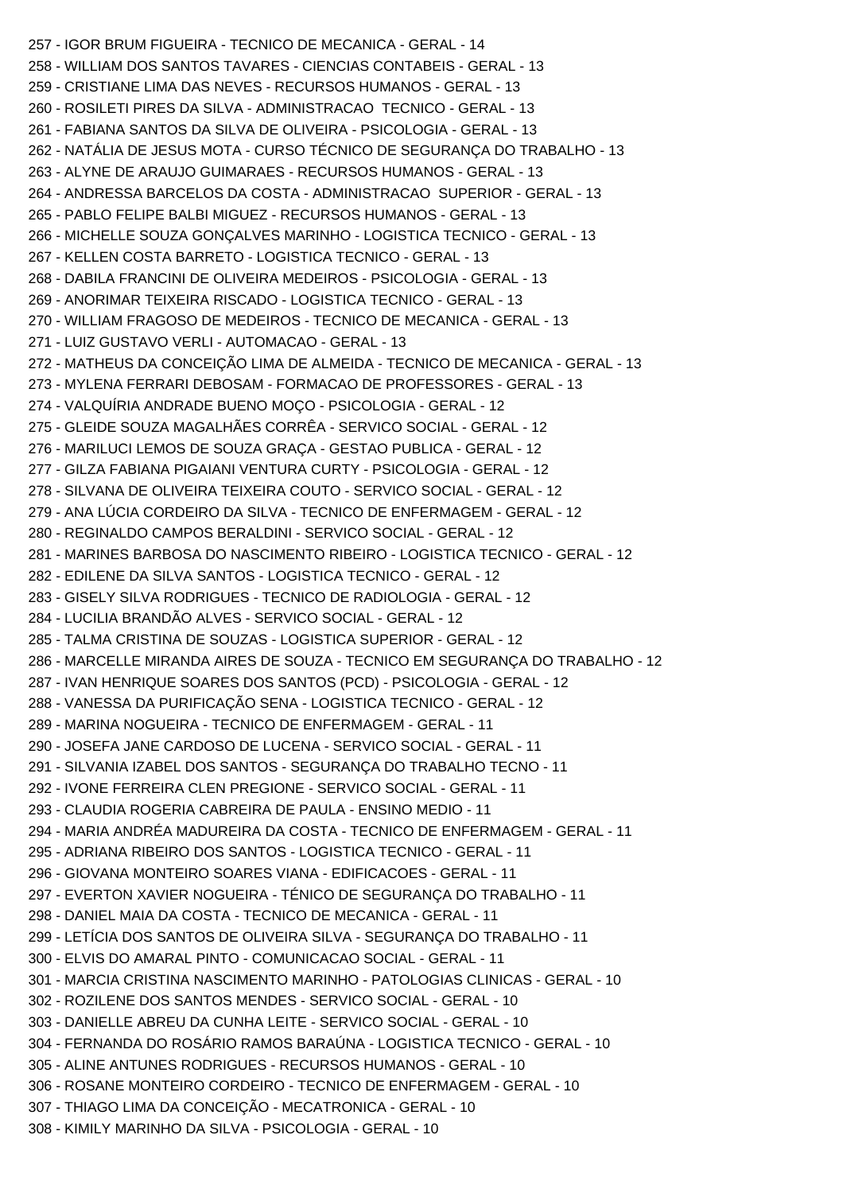257 - IGOR BRUM FIGUEIRA - TECNICO DE MECANICA - GERAL - 14 258 - WILLIAM DOS SANTOS TAVARES - CIENCIAS CONTABEIS - GERAL - 13 259 - CRISTIANE LIMA DAS NEVES - RECURSOS HUMANOS - GERAL - 13 260 - ROSILETI PIRES DA SILVA - ADMINISTRACAO TECNICO - GERAL - 13 261 - FABIANA SANTOS DA SILVA DE OLIVEIRA - PSICOLOGIA - GERAL - 13 262 - NATÁLIA DE JESUS MOTA - CURSO TÉCNICO DE SEGURANÇA DO TRABALHO - 13 263 - ALYNE DE ARAUJO GUIMARAES - RECURSOS HUMANOS - GERAL - 13 264 - ANDRESSA BARCELOS DA COSTA - ADMINISTRACAO SUPERIOR - GERAL - 13 265 - PABLO FELIPE BALBI MIGUEZ - RECURSOS HUMANOS - GERAL - 13 266 - MICHELLE SOUZA GONÇALVES MARINHO - LOGISTICA TECNICO - GERAL - 13 267 - KELLEN COSTA BARRETO - LOGISTICA TECNICO - GERAL - 13 268 - DABILA FRANCINI DE OLIVEIRA MEDEIROS - PSICOLOGIA - GERAL - 13 269 - ANORIMAR TEIXEIRA RISCADO - LOGISTICA TECNICO - GERAL - 13 270 - WILLIAM FRAGOSO DE MEDEIROS - TECNICO DE MECANICA - GERAL - 13 271 - LUIZ GUSTAVO VERLI - AUTOMACAO - GERAL - 13 272 - MATHEUS DA CONCEIÇÃO LIMA DE ALMEIDA - TECNICO DE MECANICA - GERAL - 13 273 - MYLENA FERRARI DEBOSAM - FORMACAO DE PROFESSORES - GERAL - 13 274 - VALQUÍRIA ANDRADE BUENO MOÇO - PSICOLOGIA - GERAL - 12 275 - GLEIDE SOUZA MAGALHÃES CORRÊA - SERVICO SOCIAL - GERAL - 12 276 - MARILUCI LEMOS DE SOUZA GRAÇA - GESTAO PUBLICA - GERAL - 12 277 - GILZA FABIANA PIGAIANI VENTURA CURTY - PSICOLOGIA - GERAL - 12 278 - SILVANA DE OLIVEIRA TEIXEIRA COUTO - SERVICO SOCIAL - GERAL - 12 279 - ANA LÚCIA CORDEIRO DA SILVA - TECNICO DE ENFERMAGEM - GERAL - 12 280 - REGINALDO CAMPOS BERALDINI - SERVICO SOCIAL - GERAL - 12 281 - MARINES BARBOSA DO NASCIMENTO RIBEIRO - LOGISTICA TECNICO - GERAL - 12 282 - EDILENE DA SILVA SANTOS - LOGISTICA TECNICO - GERAL - 12 283 - GISELY SILVA RODRIGUES - TECNICO DE RADIOLOGIA - GERAL - 12 284 - LUCILIA BRANDÃO ALVES - SERVICO SOCIAL - GERAL - 12 285 - TALMA CRISTINA DE SOUZAS - LOGISTICA SUPERIOR - GERAL - 12 286 - MARCELLE MIRANDA AIRES DE SOUZA - TECNICO EM SEGURANÇA DO TRABALHO - 12 287 - IVAN HENRIQUE SOARES DOS SANTOS (PCD) - PSICOLOGIA - GERAL - 12 288 - VANESSA DA PURIFICAÇÃO SENA - LOGISTICA TECNICO - GERAL - 12 289 - MARINA NOGUEIRA - TECNICO DE ENFERMAGEM - GERAL - 11 290 - JOSEFA JANE CARDOSO DE LUCENA - SERVICO SOCIAL - GERAL - 11 291 - SILVANIA IZABEL DOS SANTOS - SEGURANÇA DO TRABALHO TECNO - 11 292 - IVONE FERREIRA CLEN PREGIONE - SERVICO SOCIAL - GERAL - 11 293 - CLAUDIA ROGERIA CABREIRA DE PAULA - ENSINO MEDIO - 11 294 - MARIA ANDRÉA MADUREIRA DA COSTA - TECNICO DE ENFERMAGEM - GERAL - 11 295 - ADRIANA RIBEIRO DOS SANTOS - LOGISTICA TECNICO - GERAL - 11 296 - GIOVANA MONTEIRO SOARES VIANA - EDIFICACOES - GERAL - 11 297 - EVERTON XAVIER NOGUEIRA - TÉNICO DE SEGURANÇA DO TRABALHO - 11 298 - DANIEL MAIA DA COSTA - TECNICO DE MECANICA - GERAL - 11 299 - LETÍCIA DOS SANTOS DE OLIVEIRA SILVA - SEGURANÇA DO TRABALHO - 11 300 - ELVIS DO AMARAL PINTO - COMUNICACAO SOCIAL - GERAL - 11 301 - MARCIA CRISTINA NASCIMENTO MARINHO - PATOLOGIAS CLINICAS - GERAL - 10 302 - ROZILENE DOS SANTOS MENDES - SERVICO SOCIAL - GERAL - 10 303 - DANIELLE ABREU DA CUNHA LEITE - SERVICO SOCIAL - GERAL - 10 304 - FERNANDA DO ROSÁRIO RAMOS BARAÚNA - LOGISTICA TECNICO - GERAL - 10 305 - ALINE ANTUNES RODRIGUES - RECURSOS HUMANOS - GERAL - 10 306 - ROSANE MONTEIRO CORDEIRO - TECNICO DE ENFERMAGEM - GERAL - 10 307 - THIAGO LIMA DA CONCEIÇÃO - MECATRONICA - GERAL - 10 308 - KIMILY MARINHO DA SILVA - PSICOLOGIA - GERAL - 10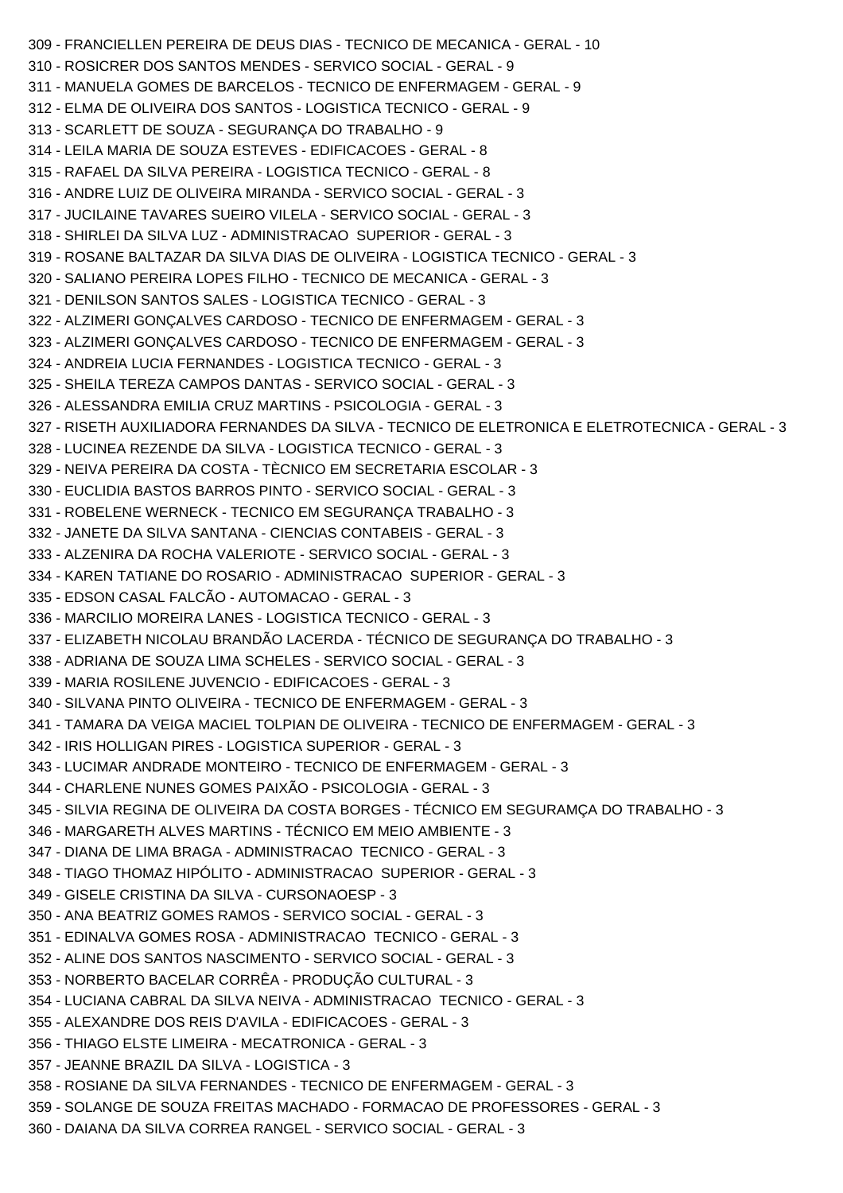```
309 - FRANCIELLEN PEREIRA DE DEUS DIAS - TECNICO DE MECANICA - GERAL - 10
310 - ROSICRER DOS SANTOS MENDES - SERVICO SOCIAL - GERAL - 9
311 - MANUELA GOMES DE BARCELOS - TECNICO DE ENFERMAGEM - GERAL - 9
312 - ELMA DE OLIVEIRA DOS SANTOS - LOGISTICA TECNICO - GERAL - 9
313 - SCARLETT DE SOUZA - SEGURANÇA DO TRABALHO - 9
314 - LEILA MARIA DE SOUZA ESTEVES - EDIFICACOES - GERAL - 8
315 - RAFAEL DA SILVA PEREIRA - LOGISTICA TECNICO - GERAL - 8
316 - ANDRE LUIZ DE OLIVEIRA MIRANDA - SERVICO SOCIAL - GERAL - 3
317 - JUCILAINE TAVARES SUEIRO VILELA - SERVICO SOCIAL - GERAL - 3
318 - SHIRLEI DA SILVA LUZ - ADMINISTRACAO SUPERIOR - GERAL - 3
319 - ROSANE BALTAZAR DA SILVA DIAS DE OLIVEIRA - LOGISTICA TECNICO - GERAL - 3
320 - SALIANO PEREIRA LOPES FILHO - TECNICO DE MECANICA - GERAL - 3
321 - DENILSON SANTOS SALES - LOGISTICA TECNICO - GERAL - 3
322 - ALZIMERI GONÇALVES CARDOSO - TECNICO DE ENFERMAGEM - GERAL - 3
323 - ALZIMERI GONÇALVES CARDOSO - TECNICO DE ENFERMAGEM - GERAL - 3
324 - ANDREIA LUCIA FERNANDES - LOGISTICA TECNICO - GERAL - 3
325 - SHEILA TEREZA CAMPOS DANTAS - SERVICO SOCIAL - GERAL - 3
326 - ALESSANDRA EMILIA CRUZ MARTINS - PSICOLOGIA - GERAL - 3
327 - RISETH AUXILIADORA FERNANDES DA SILVA - TECNICO DE ELETRONICA E ELETROTECNICA - GERAL - 3
328 - LUCINEA REZENDE DA SILVA - LOGISTICA TECNICO - GERAL - 3
329 - NEIVA PEREIRA DA COSTA - TÈCNICO EM SECRETARIA ESCOLAR - 3
330 - EUCLIDIA BASTOS BARROS PINTO - SERVICO SOCIAL - GERAL - 3
331 - ROBELENE WERNECK - TECNICO EM SEGURANÇA TRABALHO - 3
332 - JANETE DA SILVA SANTANA - CIENCIAS CONTABEIS - GERAL - 3
333 - ALZENIRA DA ROCHA VALERIOTE - SERVICO SOCIAL - GERAL - 3
334 - KAREN TATIANE DO ROSARIO - ADMINISTRACAO SUPERIOR - GERAL - 3
335 - EDSON CASAL FALCÃO - AUTOMACAO - GERAL - 3
336 - MARCILIO MOREIRA LANES - LOGISTICA TECNICO - GERAL - 3
337 - ELIZABETH NICOLAU BRANDÃO LACERDA - TÉCNICO DE SEGURANÇA DO TRABALHO - 3
338 - ADRIANA DE SOUZA LIMA SCHELES - SERVICO SOCIAL - GERAL - 3
339 - MARIA ROSILENE JUVENCIO - EDIFICACOES - GERAL - 3
340 - SILVANA PINTO OLIVEIRA - TECNICO DE ENFERMAGEM - GERAL - 3
341 - TAMARA DA VEIGA MACIEL TOLPIAN DE OLIVEIRA - TECNICO DE ENFERMAGEM - GERAL - 3
342 - IRIS HOLLIGAN PIRES - LOGISTICA SUPERIOR - GERAL - 3
343 - LUCIMAR ANDRADE MONTEIRO - TECNICO DE ENFERMAGEM - GERAL - 3
344 - CHARLENE NUNES GOMES PAIXÃO - PSICOLOGIA - GERAL - 3
345 - SILVIA REGINA DE OLIVEIRA DA COSTA BORGES - TÉCNICO EM SEGURAMÇA DO TRABALHO - 3
346 - MARGARETH ALVES MARTINS - TÉCNICO EM MEIO AMBIENTE - 3
347 - DIANA DE LIMA BRAGA - ADMINISTRACAO TECNICO - GERAL - 3
348 - TIAGO THOMAZ HIPÓLITO - ADMINISTRACAO SUPERIOR - GERAL - 3
349 - GISELE CRISTINA DA SILVA - CURSONAOESP - 3
350 - ANA BEATRIZ GOMES RAMOS - SERVICO SOCIAL - GERAL - 3
351 - EDINALVA GOMES ROSA - ADMINISTRACAO TECNICO - GERAL - 3
352 - ALINE DOS SANTOS NASCIMENTO - SERVICO SOCIAL - GERAL - 3
353 - NORBERTO BACELAR CORRÊA - PRODUÇÃO CULTURAL - 3
354 - LUCIANA CABRAL DA SILVA NEIVA - ADMINISTRACAO TECNICO - GERAL - 3
355 - ALEXANDRE DOS REIS D'AVILA - EDIFICACOES - GERAL - 3
356 - THIAGO ELSTE LIMEIRA - MECATRONICA - GERAL - 3
357 - JEANNE BRAZIL DA SILVA - LOGISTICA - 3
358 - ROSIANE DA SILVA FERNANDES - TECNICO DE ENFERMAGEM - GERAL - 3
359 - SOLANGE DE SOUZA FREITAS MACHADO - FORMACAO DE PROFESSORES - GERAL - 3
360 - DAIANA DA SILVA CORREA RANGEL - SERVICO SOCIAL - GERAL - 3
```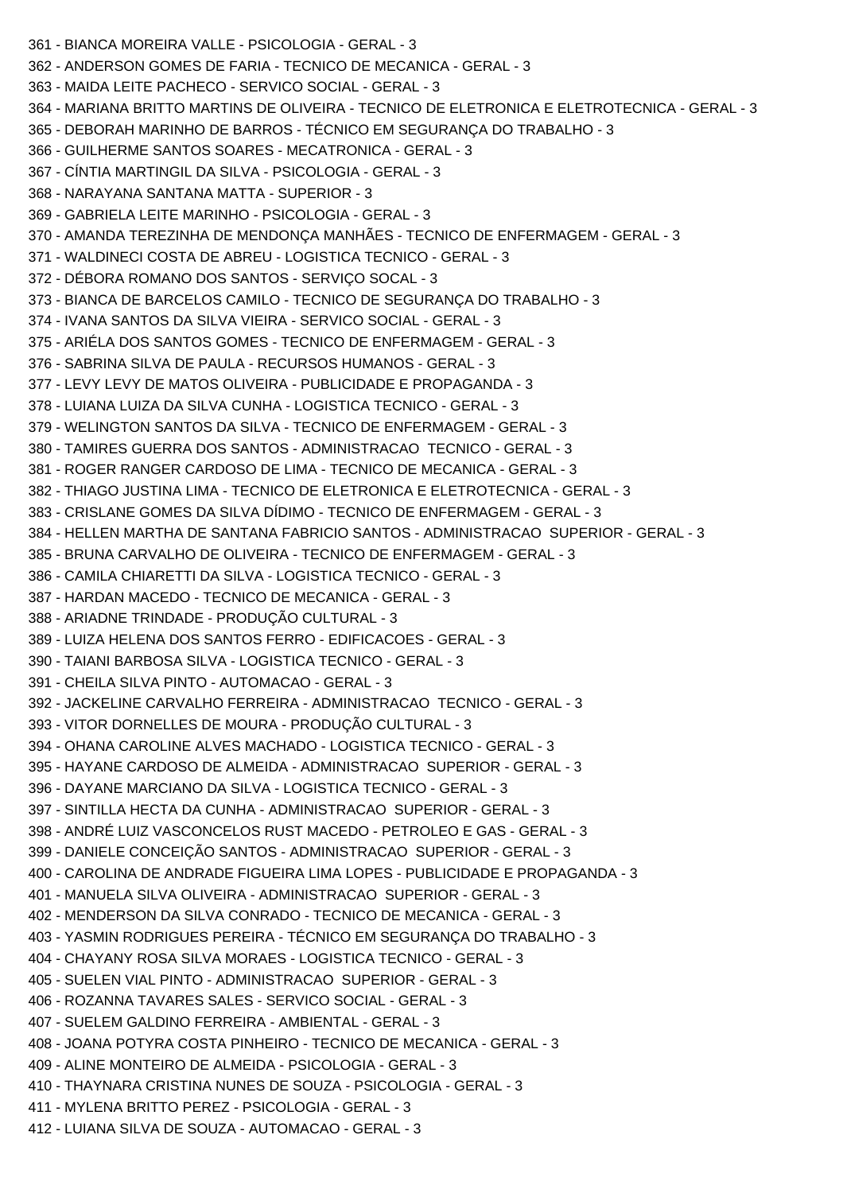```
361 - BIANCA MOREIRA VALLE - PSICOLOGIA - GERAL - 3
362 - ANDERSON GOMES DE FARIA - TECNICO DE MECANICA - GERAL - 3
363 - MAIDA LEITE PACHECO - SERVICO SOCIAL - GERAL - 3
364 - MARIANA BRITTO MARTINS DE OLIVEIRA - TECNICO DE ELETRONICA E ELETROTECNICA - GERAL - 3
365 - DEBORAH MARINHO DE BARROS - TÉCNICO EM SEGURANÇA DO TRABALHO - 3
366 - GUILHERME SANTOS SOARES - MECATRONICA - GERAL - 3
367 - CÍNTIA MARTINGIL DA SILVA - PSICOLOGIA - GERAL - 3
368 - NARAYANA SANTANA MATTA - SUPERIOR - 3
369 - GABRIELA LEITE MARINHO - PSICOLOGIA - GERAL - 3
370 - AMANDA TEREZINHA DE MENDONÇA MANHÃES - TECNICO DE ENFERMAGEM - GERAL - 3
371 - WALDINECI COSTA DE ABREU - LOGISTICA TECNICO - GERAL - 3
372 - DÉBORA ROMANO DOS SANTOS - SERVIÇO SOCAL - 3
373 - BIANCA DE BARCELOS CAMILO - TECNICO DE SEGURANÇA DO TRABALHO - 3
374 - IVANA SANTOS DA SILVA VIEIRA - SERVICO SOCIAL - GERAL - 3
375 - ARIÉLA DOS SANTOS GOMES - TECNICO DE ENFERMAGEM - GERAL - 3
376 - SABRINA SILVA DE PAULA - RECURSOS HUMANOS - GERAL - 3
377 - LEVY LEVY DE MATOS OLIVEIRA - PUBLICIDADE E PROPAGANDA - 3
378 - LUIANA LUIZA DA SILVA CUNHA - LOGISTICA TECNICO - GERAL - 3
379 - WELINGTON SANTOS DA SILVA - TECNICO DE ENFERMAGEM - GERAL - 3
380 - TAMIRES GUERRA DOS SANTOS - ADMINISTRACAO TECNICO - GERAL - 3
381 - ROGER RANGER CARDOSO DE LIMA - TECNICO DE MECANICA - GERAL - 3
382 - THIAGO JUSTINA LIMA - TECNICO DE ELETRONICA E ELETROTECNICA - GERAL - 3
383 - CRISLANE GOMES DA SILVA DÍDIMO - TECNICO DE ENFERMAGEM - GERAL - 3
384 - HELLEN MARTHA DE SANTANA FABRICIO SANTOS - ADMINISTRACAO SUPERIOR - GERAL - 3
385 - BRUNA CARVALHO DE OLIVEIRA - TECNICO DE ENFERMAGEM - GERAL - 3
386 - CAMILA CHIARETTI DA SILVA - LOGISTICA TECNICO - GERAL - 3
387 - HARDAN MACEDO - TECNICO DE MECANICA - GERAL - 3
388 - ARIADNE TRINDADE - PRODUÇÃO CULTURAL - 3
389 - LUIZA HELENA DOS SANTOS FERRO - EDIFICACOES - GERAL - 3
390 - TAIANI BARBOSA SILVA - LOGISTICA TECNICO - GERAL - 3
391 - CHEILA SILVA PINTO - AUTOMACAO - GERAL - 3
392 - JACKELINE CARVALHO FERREIRA - ADMINISTRACAO TECNICO - GERAL - 3
393 - VITOR DORNELLES DE MOURA - PRODUÇÃO CULTURAL - 3
394 - OHANA CAROLINE ALVES MACHADO - LOGISTICA TECNICO - GERAL - 3
395 - HAYANE CARDOSO DE ALMEIDA - ADMINISTRACAO SUPERIOR - GERAL - 3
396 - DAYANE MARCIANO DA SILVA - LOGISTICA TECNICO - GERAL - 3
397 - SINTILLA HECTA DA CUNHA - ADMINISTRACAO SUPERIOR - GERAL - 3
398 - ANDRÉ LUIZ VASCONCELOS RUST MACEDO - PETROLEO E GAS - GERAL - 3
399 - DANIELE CONCEIÇÃO SANTOS - ADMINISTRACAO SUPERIOR - GERAL - 3
400 - CAROLINA DE ANDRADE FIGUEIRA LIMA LOPES - PUBLICIDADE E PROPAGANDA - 3
401 - MANUELA SILVA OLIVEIRA - ADMINISTRACAO SUPERIOR - GERAL - 3
402 - MENDERSON DA SILVA CONRADO - TECNICO DE MECANICA - GERAL - 3
403 - YASMIN RODRIGUES PEREIRA - TÉCNICO EM SEGURANÇA DO TRABALHO - 3
404 - CHAYANY ROSA SILVA MORAES - LOGISTICA TECNICO - GERAL - 3
405 - SUELEN VIAL PINTO - ADMINISTRACAO SUPERIOR - GERAL - 3
406 - ROZANNA TAVARES SALES - SERVICO SOCIAL - GERAL - 3
407 - SUELEM GALDINO FERREIRA - AMBIENTAL - GERAL - 3
408 - JOANA POTYRA COSTA PINHEIRO - TECNICO DE MECANICA - GERAL - 3
409 - ALINE MONTEIRO DE ALMEIDA - PSICOLOGIA - GERAL - 3
410 - THAYNARA CRISTINA NUNES DE SOUZA - PSICOLOGIA - GERAL - 3
411 - MYLENA BRITTO PEREZ - PSICOLOGIA - GERAL - 3
412 - LUIANA SILVA DE SOUZA - AUTOMACAO - GERAL - 3
```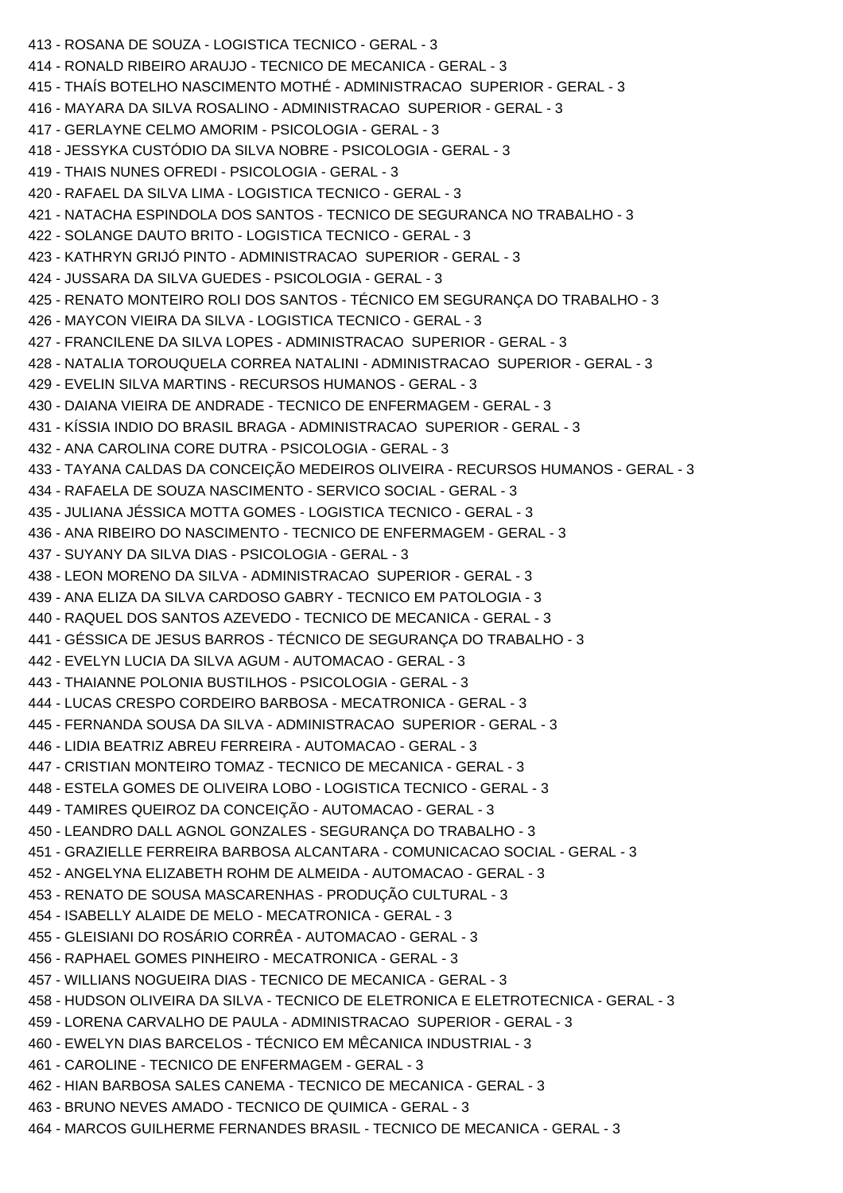413 - ROSANA DE SOUZA - LOGISTICA TECNICO - GERAL - 3 414 - RONALD RIBEIRO ARAUJO - TECNICO DE MECANICA - GERAL - 3 415 - THAÍS BOTELHO NASCIMENTO MOTHÉ - ADMINISTRACAO SUPERIOR - GERAL - 3 416 - MAYARA DA SILVA ROSALINO - ADMINISTRACAO SUPERIOR - GERAL - 3 417 - GERLAYNE CELMO AMORIM - PSICOLOGIA - GERAL - 3 418 - JESSYKA CUSTÓDIO DA SILVA NOBRE - PSICOLOGIA - GERAL - 3 419 - THAIS NUNES OFREDI - PSICOLOGIA - GERAL - 3 420 - RAFAEL DA SILVA LIMA - LOGISTICA TECNICO - GERAL - 3 421 - NATACHA ESPINDOLA DOS SANTOS - TECNICO DE SEGURANCA NO TRABALHO - 3 422 - SOLANGE DAUTO BRITO - LOGISTICA TECNICO - GERAL - 3 423 - KATHRYN GRIJÓ PINTO - ADMINISTRACAO SUPERIOR - GERAL - 3 424 - JUSSARA DA SILVA GUEDES - PSICOLOGIA - GERAL - 3 425 - RENATO MONTEIRO ROLI DOS SANTOS - TÉCNICO EM SEGURANÇA DO TRABALHO - 3 426 - MAYCON VIEIRA DA SILVA - LOGISTICA TECNICO - GERAL - 3 427 - FRANCILENE DA SILVA LOPES - ADMINISTRACAO SUPERIOR - GERAL - 3 428 - NATALIA TOROUQUELA CORREA NATALINI - ADMINISTRACAO SUPERIOR - GERAL - 3 429 - EVELIN SILVA MARTINS - RECURSOS HUMANOS - GERAL - 3 430 - DAIANA VIEIRA DE ANDRADE - TECNICO DE ENFERMAGEM - GERAL - 3 431 - KÍSSIA INDIO DO BRASIL BRAGA - ADMINISTRACAO SUPERIOR - GERAL - 3 432 - ANA CAROLINA CORE DUTRA - PSICOLOGIA - GERAL - 3 433 - TAYANA CALDAS DA CONCEIÇÃO MEDEIROS OLIVEIRA - RECURSOS HUMANOS - GERAL - 3 434 - RAFAELA DE SOUZA NASCIMENTO - SERVICO SOCIAL - GERAL - 3 435 - JULIANA JÉSSICA MOTTA GOMES - LOGISTICA TECNICO - GERAL - 3 436 - ANA RIBEIRO DO NASCIMENTO - TECNICO DE ENFERMAGEM - GERAL - 3 437 - SUYANY DA SILVA DIAS - PSICOLOGIA - GERAL - 3 438 - LEON MORENO DA SILVA - ADMINISTRACAO SUPERIOR - GERAL - 3 439 - ANA ELIZA DA SILVA CARDOSO GABRY - TECNICO EM PATOLOGIA - 3 440 - RAQUEL DOS SANTOS AZEVEDO - TECNICO DE MECANICA - GERAL - 3 441 - GÉSSICA DE JESUS BARROS - TÉCNICO DE SEGURANÇA DO TRABALHO - 3 442 - EVELYN LUCIA DA SILVA AGUM - AUTOMACAO - GERAL - 3 443 - THAIANNE POLONIA BUSTILHOS - PSICOLOGIA - GERAL - 3 444 - LUCAS CRESPO CORDEIRO BARBOSA - MECATRONICA - GERAL - 3 445 - FERNANDA SOUSA DA SILVA - ADMINISTRACAO SUPERIOR - GERAL - 3 446 - LIDIA BEATRIZ ABREU FERREIRA - AUTOMACAO - GERAL - 3 447 - CRISTIAN MONTEIRO TOMAZ - TECNICO DE MECANICA - GERAL - 3 448 - ESTELA GOMES DE OLIVEIRA LOBO - LOGISTICA TECNICO - GERAL - 3 449 - TAMIRES QUEIROZ DA CONCEIÇÃO - AUTOMACAO - GERAL - 3 450 - LEANDRO DALL AGNOL GONZALES - SEGURANÇA DO TRABALHO - 3 451 - GRAZIELLE FERREIRA BARBOSA ALCANTARA - COMUNICACAO SOCIAL - GERAL - 3 452 - ANGELYNA ELIZABETH ROHM DE ALMEIDA - AUTOMACAO - GERAL - 3 453 - RENATO DE SOUSA MASCARENHAS - PRODUÇÃO CULTURAL - 3 454 - ISABELLY ALAIDE DE MELO - MECATRONICA - GERAL - 3 455 - GLEISIANI DO ROSÁRIO CORRÊA - AUTOMACAO - GERAL - 3 456 - RAPHAEL GOMES PINHEIRO - MECATRONICA - GERAL - 3 457 - WILLIANS NOGUEIRA DIAS - TECNICO DE MECANICA - GERAL - 3 458 - HUDSON OLIVEIRA DA SILVA - TECNICO DE ELETRONICA E ELETROTECNICA - GERAL - 3 459 - LORENA CARVALHO DE PAULA - ADMINISTRACAO SUPERIOR - GERAL - 3 460 - EWELYN DIAS BARCELOS - TÉCNICO EM MÊCANICA INDUSTRIAL - 3 461 - CAROLINE - TECNICO DE ENFERMAGEM - GERAL - 3 462 - HIAN BARBOSA SALES CANEMA - TECNICO DE MECANICA - GERAL - 3 463 - BRUNO NEVES AMADO - TECNICO DE QUIMICA - GERAL - 3 464 - MARCOS GUILHERME FERNANDES BRASIL - TECNICO DE MECANICA - GERAL - 3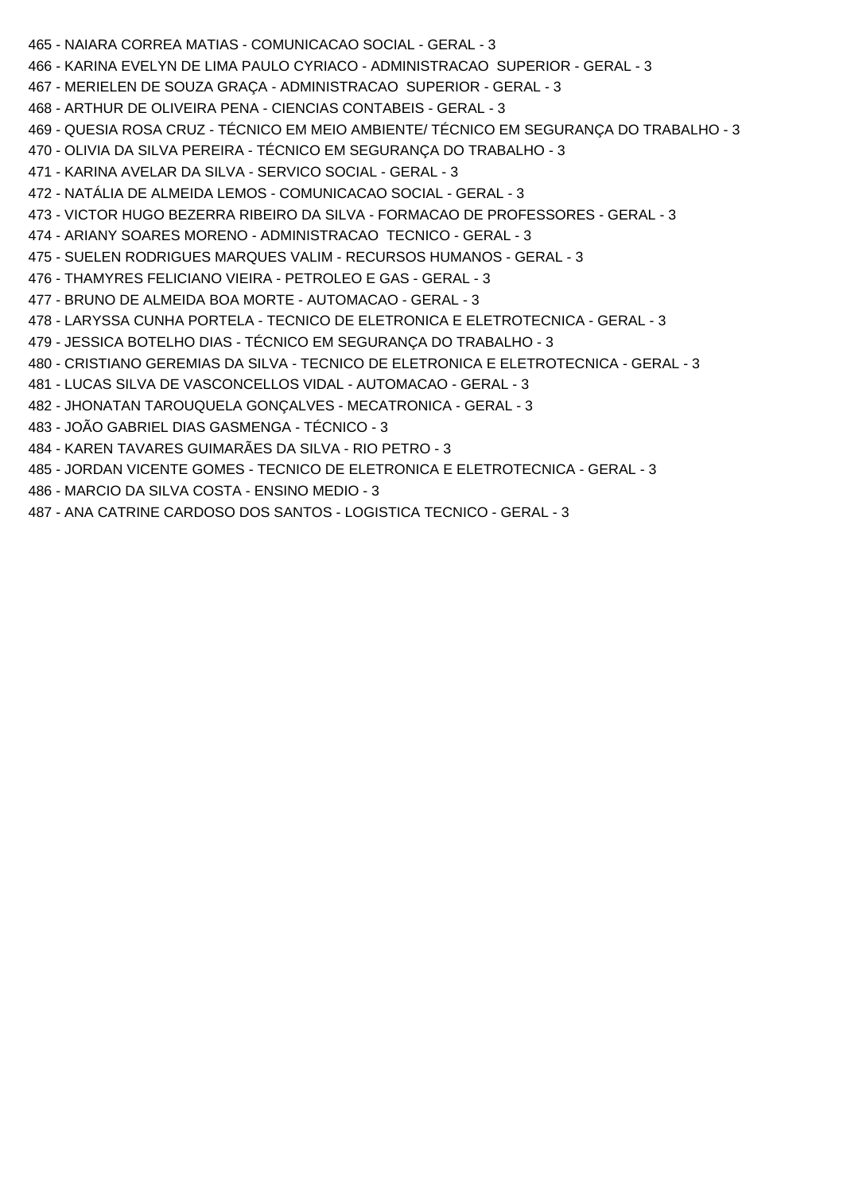- 465 NAIARA CORREA MATIAS COMUNICACAO SOCIAL GERAL 3
- 466 KARINA EVELYN DE LIMA PAULO CYRIACO ADMINISTRACAO SUPERIOR GERAL 3
- 467 MERIELEN DE SOUZA GRAÇA ADMINISTRACAO SUPERIOR GERAL 3
- 468 ARTHUR DE OLIVEIRA PENA CIENCIAS CONTABEIS GERAL 3
- 469 QUESIA ROSA CRUZ TÉCNICO EM MEIO AMBIENTE/ TÉCNICO EM SEGURANÇA DO TRABALHO 3
- 470 OLIVIA DA SILVA PEREIRA TÉCNICO EM SEGURANÇA DO TRABALHO 3
- 471 KARINA AVELAR DA SILVA SERVICO SOCIAL GERAL 3
- 472 NATÁLIA DE ALMEIDA LEMOS COMUNICACAO SOCIAL GERAL 3
- 473 VICTOR HUGO BEZERRA RIBEIRO DA SILVA FORMACAO DE PROFESSORES GERAL 3
- 474 ARIANY SOARES MORENO ADMINISTRACAO TECNICO GERAL 3
- 475 SUELEN RODRIGUES MARQUES VALIM RECURSOS HUMANOS GERAL 3
- 476 THAMYRES FELICIANO VIEIRA PETROLEO E GAS GERAL 3
- 477 BRUNO DE ALMEIDA BOA MORTE AUTOMACAO GERAL 3
- 478 LARYSSA CUNHA PORTELA TECNICO DE ELETRONICA E ELETROTECNICA GERAL 3
- 479 JESSICA BOTELHO DIAS TÉCNICO EM SEGURANÇA DO TRABALHO 3
- 480 CRISTIANO GEREMIAS DA SILVA TECNICO DE ELETRONICA E ELETROTECNICA GERAL 3
- 481 LUCAS SILVA DE VASCONCELLOS VIDAL AUTOMACAO GERAL 3
- 482 JHONATAN TAROUQUELA GONÇALVES MECATRONICA GERAL 3
- 483 JOÃO GABRIEL DIAS GASMENGA TÉCNICO 3
- 484 KAREN TAVARES GUIMARÃES DA SILVA RIO PETRO 3
- 485 JORDAN VICENTE GOMES TECNICO DE ELETRONICA E ELETROTECNICA GERAL 3
- 486 MARCIO DA SILVA COSTA ENSINO MEDIO 3
- 487 ANA CATRINE CARDOSO DOS SANTOS LOGISTICA TECNICO GERAL 3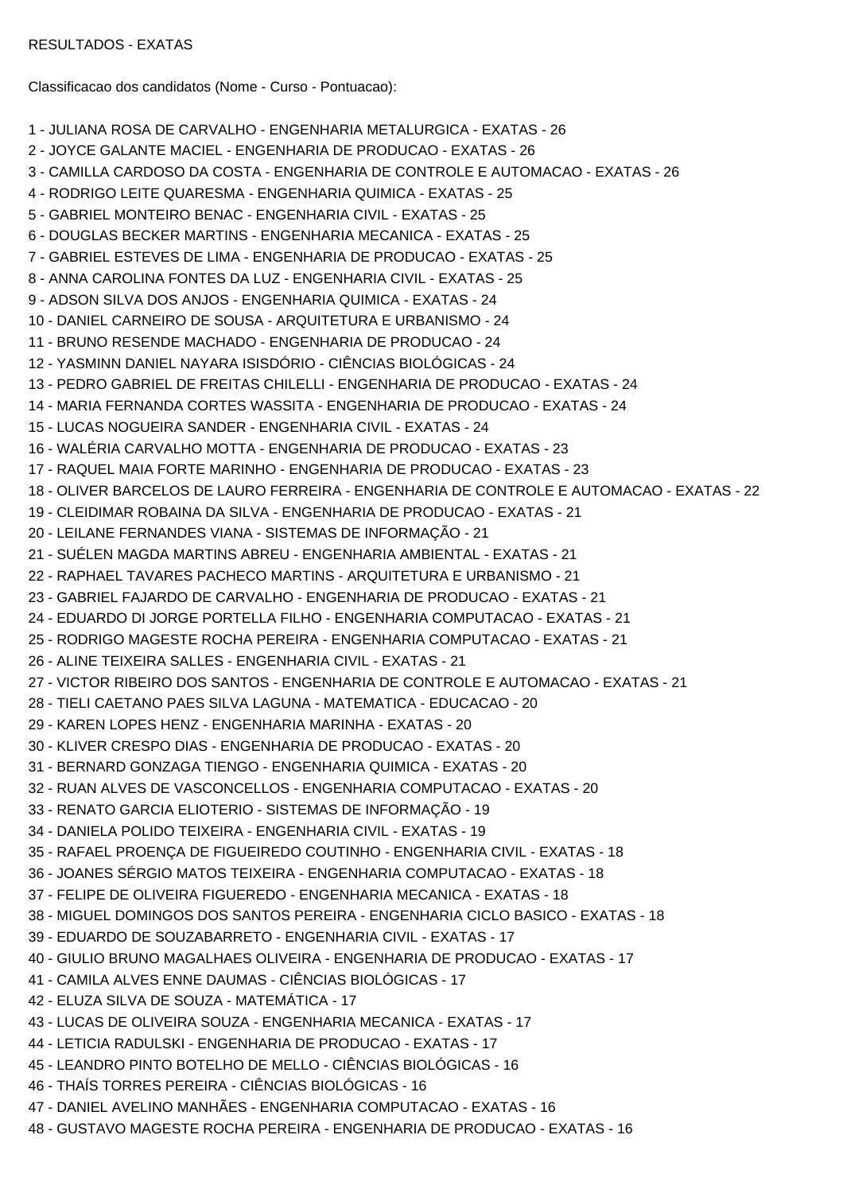Classificacao dos candidatos (Nome - Curso - Pontuacao):

```
1 - JULIANA ROSA DE CARVALHO - ENGENHARIA METALURGICA - EXATAS - 26
2 - JOYCE GALANTE MACIEL - ENGENHARIA DE PRODUCAO - EXATAS - 26
3 - CAMILLA CARDOSO DA COSTA - ENGENHARIA DE CONTROLE E AUTOMACAO - EXATAS - 26
4 - RODRIGO LEITE QUARESMA - ENGENHARIA QUIMICA - EXATAS - 25
5 - GABRIEL MONTEIRO BENAC - ENGENHARIA CIVIL - EXATAS - 25
6 - DOUGLAS BECKER MARTINS - ENGENHARIA MECANICA - EXATAS - 25
7 - GABRIEL ESTEVES DE LIMA - ENGENHARIA DE PRODUCAO - EXATAS - 25
8 - ANNA CAROLINA FONTES DA LUZ - ENGENHARIA CIVIL - EXATAS - 25
9 - ADSON SILVA DOS ANJOS - ENGENHARIA QUIMICA - EXATAS - 24
10 - DANIEL CARNEIRO DE SOUSA - ARQUITETURA E URBANISMO - 24
11 - BRUNO RESENDE MACHADO - ENGENHARIA DE PRODUCAO - 24
12 - YASMINN DANIEL NAYARA ISISDÓRIO - CIÊNCIAS BIOLÓGICAS - 24
13 - PEDRO GABRIEL DE FREITAS CHILELLI - ENGENHARIA DE PRODUCAO - EXATAS - 24
14 - MARIA FERNANDA CORTES WASSITA - ENGENHARIA DE PRODUCAO - EXATAS - 24
15 - LUCAS NOGUEIRA SANDER - ENGENHARIA CIVIL - EXATAS - 24
16 - WALÉRIA CARVALHO MOTTA - ENGENHARIA DE PRODUCAO - EXATAS - 23
17 - RAQUEL MAIA FORTE MARINHO - ENGENHARIA DE PRODUCAO - EXATAS - 23
18 - OLIVER BARCELOS DE LAURO FERREIRA - ENGENHARIA DE CONTROLE E AUTOMACAO - EXATAS - 22
19 - CLEIDIMAR ROBAINA DA SILVA - ENGENHARIA DE PRODUCAO - EXATAS - 21
20 - LEILANE FERNANDES VIANA - SISTEMAS DE INFORMAÇÃO - 21
21 - SUÉLEN MAGDA MARTINS ABREU - ENGENHARIA AMBIENTAL - EXATAS - 21
22 - RAPHAEL TAVARES PACHECO MARTINS - ARQUITETURA E URBANISMO - 21
23 - GABRIEL FAJARDO DE CARVALHO - ENGENHARIA DE PRODUCAO - EXATAS - 21
24 - EDUARDO DI JORGE PORTELLA FILHO - ENGENHARIA COMPUTACAO - EXATAS - 21
25 - RODRIGO MAGESTE ROCHA PEREIRA - ENGENHARIA COMPUTACAO - EXATAS - 21
26 - ALINE TEIXEIRA SALLES - ENGENHARIA CIVIL - EXATAS - 21
27 - VICTOR RIBEIRO DOS SANTOS - ENGENHARIA DE CONTROLE E AUTOMACAO - EXATAS - 21
28 - TIELI CAETANO PAES SILVA LAGUNA - MATEMATICA - EDUCACAO - 20
29 - KAREN LOPES HENZ - ENGENHARIA MARINHA - EXATAS - 20
30 - KLIVER CRESPO DIAS - ENGENHARIA DE PRODUCAO - EXATAS - 20
31 - BERNARD GONZAGA TIENGO - ENGENHARIA QUIMICA - EXATAS - 20
32 - RUAN ALVES DE VASCONCELLOS - ENGENHARIA COMPUTACAO - EXATAS - 20
33 - RENATO GARCIA ELIOTERIO - SISTEMAS DE INFORMAÇÃO - 19
34 - DANIELA POLIDO TEIXEIRA - ENGENHARIA CIVIL - EXATAS - 19
35 - RAFAEL PROENÇA DE FIGUEIREDO COUTINHO - ENGENHARIA CIVIL - EXATAS - 18
36 - JOANES SÉRGIO MATOS TEIXEIRA - ENGENHARIA COMPUTACAO - EXATAS - 18
37 - FELIPE DE OLIVEIRA FIGUEREDO - ENGENHARIA MECANICA - EXATAS - 18
38 - MIGUEL DOMINGOS DOS SANTOS PEREIRA - ENGENHARIA CICLO BASICO - EXATAS - 18
39 - EDUARDO DE SOUZABARRETO - ENGENHARIA CIVIL - EXATAS - 17
40 - GIULIO BRUNO MAGALHAES OLIVEIRA - ENGENHARIA DE PRODUCAO - EXATAS - 17
41 - CAMILA ALVES ENNE DAUMAS - CIÊNCIAS BIOLÓGICAS - 17
42 - ELUZA SILVA DE SOUZA - MATEMÁTICA - 17
43 - LUCAS DE OLIVEIRA SOUZA - ENGENHARIA MECANICA - EXATAS - 17
44 - LETICIA RADULSKI - ENGENHARIA DE PRODUCAO - EXATAS - 17
45 - LEANDRO PINTO BOTELHO DE MELLO - CIÊNCIAS BIOLÓGICAS - 16
46 - THAÍS TORRES PEREIRA - CIÊNCIAS BIOLÓGICAS - 16
47 - DANIEL AVELINO MANHÃES - ENGENHARIA COMPUTACAO - EXATAS - 16
48 - GUSTAVO MAGESTE ROCHA PEREIRA - ENGENHARIA DE PRODUCAO - EXATAS - 16
```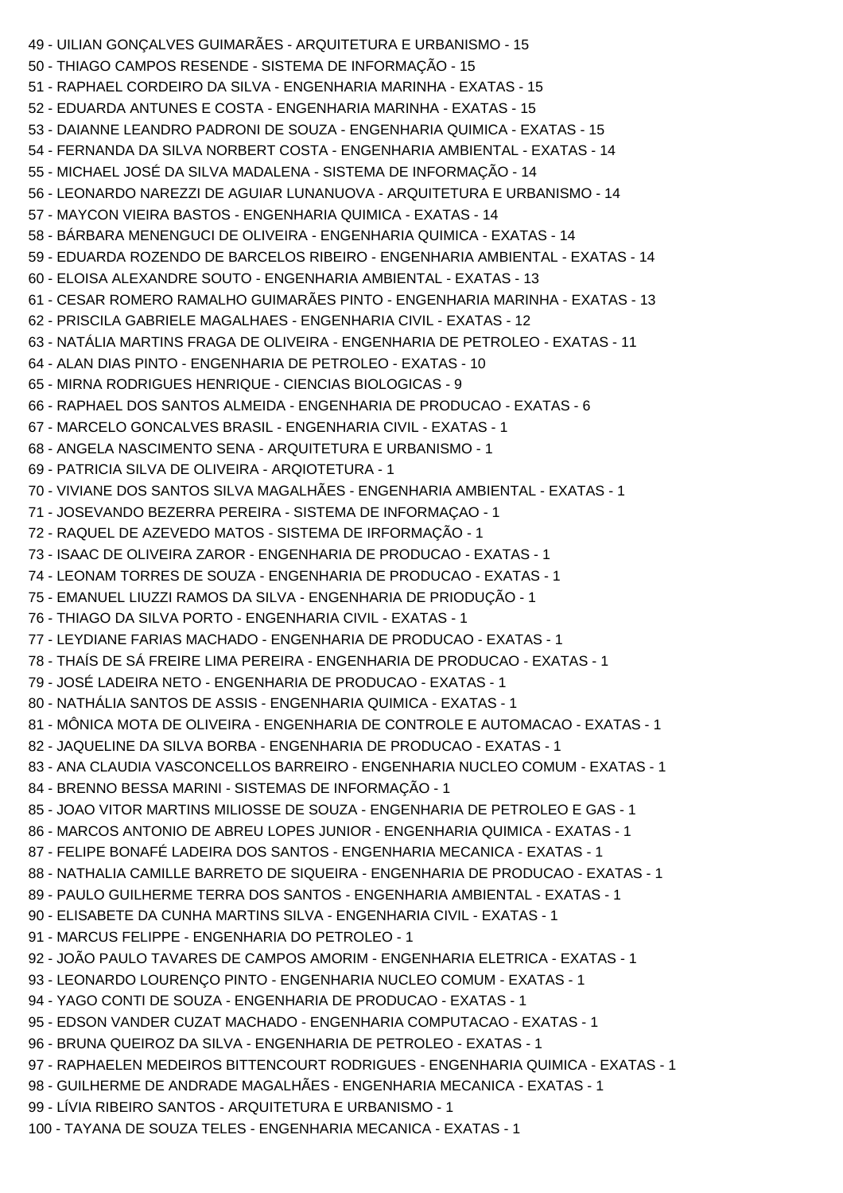```
49 - UILIAN GONÇALVES GUIMARÃES - ARQUITETURA E URBANISMO - 15
50 - THIAGO CAMPOS RESENDE - SISTEMA DE INFORMAÇÃO - 15
51 - RAPHAEL CORDEIRO DA SILVA - ENGENHARIA MARINHA - EXATAS - 15
52 - EDUARDA ANTUNES E COSTA - ENGENHARIA MARINHA - EXATAS - 15
53 - DAIANNE LEANDRO PADRONI DE SOUZA - ENGENHARIA QUIMICA - EXATAS - 15
54 - FERNANDA DA SILVA NORBERT COSTA - ENGENHARIA AMBIENTAL - EXATAS - 14
55 - MICHAEL JOSÉ DA SILVA MADALENA - SISTEMA DE INFORMAÇÃO - 14
56 - LEONARDO NAREZZI DE AGUIAR LUNANUOVA - ARQUITETURA E URBANISMO - 14
57 - MAYCON VIEIRA BASTOS - ENGENHARIA QUIMICA - EXATAS - 14
58 - BÁRBARA MENENGUCI DE OLIVEIRA - ENGENHARIA QUIMICA - EXATAS - 14
59 - EDUARDA ROZENDO DE BARCELOS RIBEIRO - ENGENHARIA AMBIENTAL - EXATAS - 14
60 - ELOISA ALEXANDRE SOUTO - ENGENHARIA AMBIENTAL - EXATAS - 13
61 - CESAR ROMERO RAMALHO GUIMARÃES PINTO - ENGENHARIA MARINHA - EXATAS - 13
62 - PRISCILA GABRIELE MAGALHAES - ENGENHARIA CIVIL - EXATAS - 12
63 - NATÁLIA MARTINS FRAGA DE OLIVEIRA - ENGENHARIA DE PETROLEO - EXATAS - 11
64 - ALAN DIAS PINTO - ENGENHARIA DE PETROLEO - EXATAS - 10
65 - MIRNA RODRIGUES HENRIQUE - CIENCIAS BIOLOGICAS - 9
66 - RAPHAEL DOS SANTOS ALMEIDA - ENGENHARIA DE PRODUCAO - EXATAS - 6
67 - MARCELO GONCALVES BRASIL - ENGENHARIA CIVIL - EXATAS - 1
68 - ANGELA NASCIMENTO SENA - ARQUITETURA E URBANISMO - 1
69 - PATRICIA SILVA DE OLIVEIRA - ARQIOTETURA - 1
70 - VIVIANE DOS SANTOS SILVA MAGALHÃES - ENGENHARIA AMBIENTAL - EXATAS - 1
71 - JOSEVANDO BEZERRA PEREIRA - SISTEMA DE INFORMAÇAO - 1
72 - RAQUEL DE AZEVEDO MATOS - SISTEMA DE IRFORMAÇÃO - 1
73 - ISAAC DE OLIVEIRA ZAROR - ENGENHARIA DE PRODUCAO - EXATAS - 1
74 - LEONAM TORRES DE SOUZA - ENGENHARIA DE PRODUCAO - EXATAS - 1
75 - EMANUEL LIUZZI RAMOS DA SILVA - ENGENHARIA DE PRIODUÇÃO - 1
76 - THIAGO DA SILVA PORTO - ENGENHARIA CIVIL - EXATAS - 1
77 - LEYDIANE FARIAS MACHADO - ENGENHARIA DE PRODUCAO - EXATAS - 1
78 - THAÍS DE SÁ FREIRE LIMA PEREIRA - ENGENHARIA DE PRODUCAO - EXATAS - 1
79 - JOSÉ LADEIRA NETO - ENGENHARIA DE PRODUCAO - EXATAS - 1
80 - NATHÁLIA SANTOS DE ASSIS - ENGENHARIA QUIMICA - EXATAS - 1
81 - MÔNICA MOTA DE OLIVEIRA - ENGENHARIA DE CONTROLE E AUTOMACAO - EXATAS - 1
82 - JAQUELINE DA SILVA BORBA - ENGENHARIA DE PRODUCAO - EXATAS - 1
83 - ANA CLAUDIA VASCONCELLOS BARREIRO - ENGENHARIA NUCLEO COMUM - EXATAS - 1
84 - BRENNO BESSA MARINI - SISTEMAS DE INFORMAÇÃO - 1
85 - JOAO VITOR MARTINS MILIOSSE DE SOUZA - ENGENHARIA DE PETROLEO E GAS - 1
86 - MARCOS ANTONIO DE ABREU LOPES JUNIOR - ENGENHARIA QUIMICA - EXATAS - 1
87 - FELIPE BONAFÉ LADEIRA DOS SANTOS - ENGENHARIA MECANICA - EXATAS - 1
88 - NATHALIA CAMILLE BARRETO DE SIQUEIRA - ENGENHARIA DE PRODUCAO - EXATAS - 1
89 - PAULO GUILHERME TERRA DOS SANTOS - ENGENHARIA AMBIENTAL - EXATAS - 1
90 - ELISABETE DA CUNHA MARTINS SILVA - ENGENHARIA CIVIL - EXATAS - 1
91 - MARCUS FELIPPE - ENGENHARIA DO PETROLEO - 1
92 - JOÃO PAULO TAVARES DE CAMPOS AMORIM - ENGENHARIA ELETRICA - EXATAS - 1
93 - LEONARDO LOURENÇO PINTO - ENGENHARIA NUCLEO COMUM - EXATAS - 1
94 - YAGO CONTI DE SOUZA - ENGENHARIA DE PRODUCAO - EXATAS - 1
95 - EDSON VANDER CUZAT MACHADO - ENGENHARIA COMPUTACAO - EXATAS - 1
96 - BRUNA QUEIROZ DA SILVA - ENGENHARIA DE PETROLEO - EXATAS - 1
97 - RAPHAELEN MEDEIROS BITTENCOURT RODRIGUES - ENGENHARIA QUIMICA - EXATAS - 1
98 - GUILHERME DE ANDRADE MAGALHÃES - ENGENHARIA MECANICA - EXATAS - 1
99 - LÍVIA RIBEIRO SANTOS - ARQUITETURA E URBANISMO - 1
100 - TAYANA DE SOUZA TELES - ENGENHARIA MECANICA - EXATAS - 1
```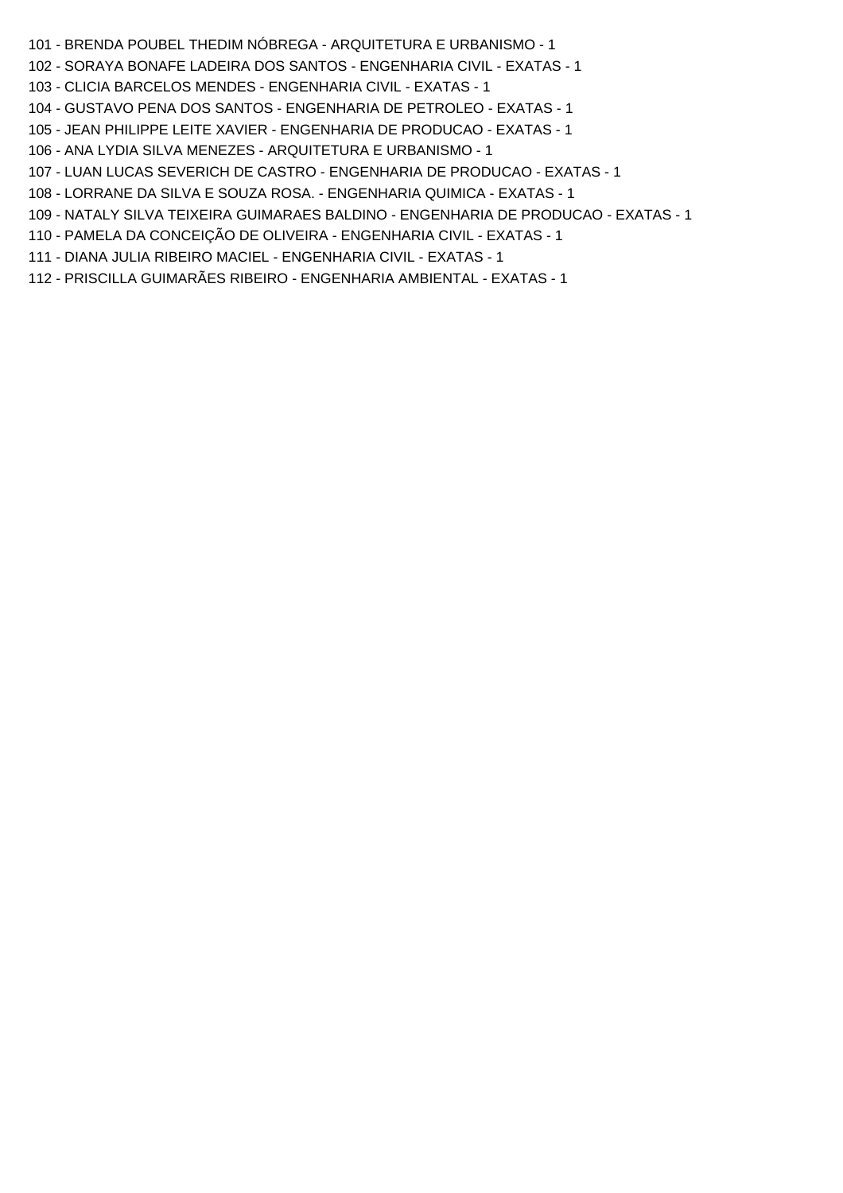- 101 BRENDA POUBEL THEDIM NÓBREGA ARQUITETURA E URBANISMO 1
- 102 SORAYA BONAFE LADEIRA DOS SANTOS ENGENHARIA CIVIL EXATAS 1
- 103 CLICIA BARCELOS MENDES ENGENHARIA CIVIL EXATAS 1
- 104 GUSTAVO PENA DOS SANTOS ENGENHARIA DE PETROLEO EXATAS 1
- 105 JEAN PHILIPPE LEITE XAVIER ENGENHARIA DE PRODUCAO EXATAS 1
- 106 ANA LYDIA SILVA MENEZES ARQUITETURA E URBANISMO 1
- 107 LUAN LUCAS SEVERICH DE CASTRO ENGENHARIA DE PRODUCAO EXATAS 1
- 108 LORRANE DA SILVA E SOUZA ROSA. ENGENHARIA QUIMICA EXATAS 1
- 109 NATALY SILVA TEIXEIRA GUIMARAES BALDINO ENGENHARIA DE PRODUCAO EXATAS 1
- 110 PAMELA DA CONCEIÇÃO DE OLIVEIRA ENGENHARIA CIVIL EXATAS 1
- 111 DIANA JULIA RIBEIRO MACIEL ENGENHARIA CIVIL EXATAS 1
- 112 PRISCILLA GUIMARÃES RIBEIRO ENGENHARIA AMBIENTAL EXATAS 1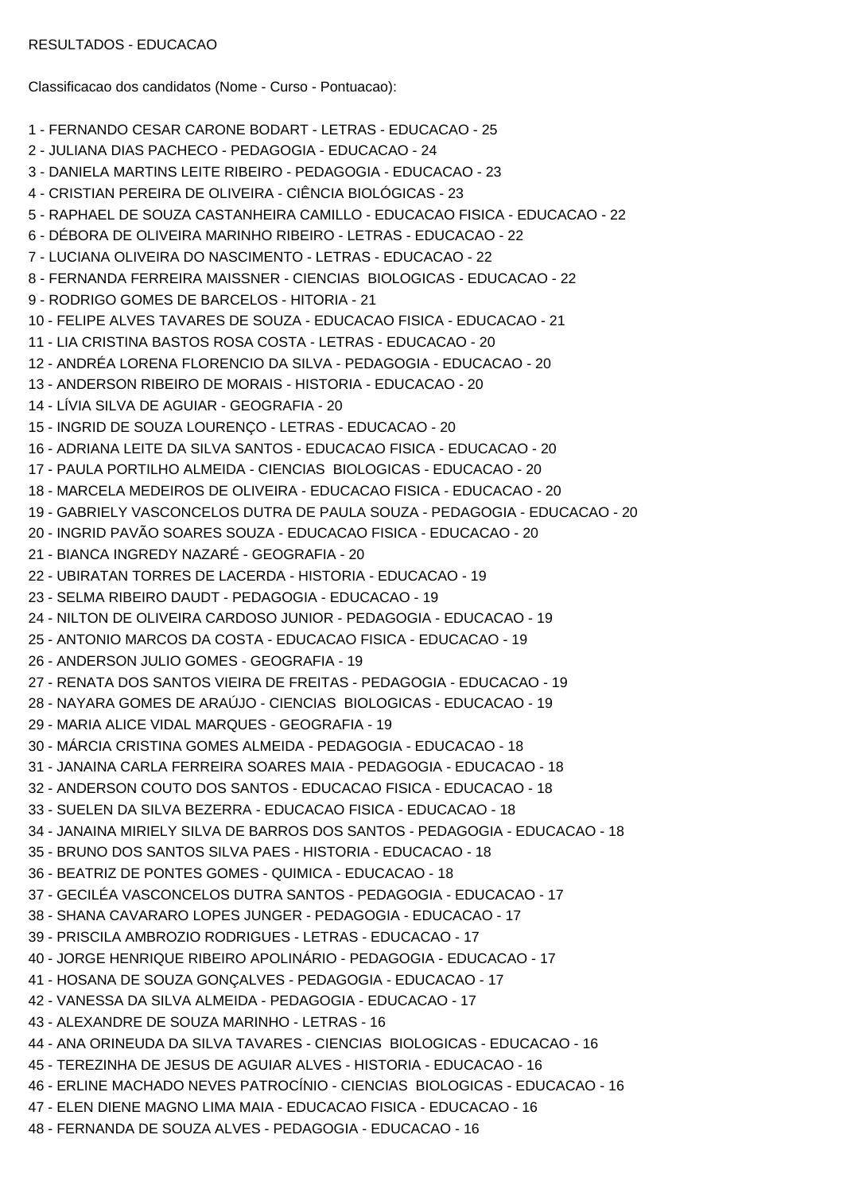Classificacao dos candidatos (Nome - Curso - Pontuacao):

1 - FERNANDO CESAR CARONE BODART - LETRAS - EDUCACAO - 25 2 - JULIANA DIAS PACHECO - PEDAGOGIA - EDUCACAO - 24 3 - DANIELA MARTINS LEITE RIBEIRO - PEDAGOGIA - EDUCACAO - 23 4 - CRISTIAN PEREIRA DE OLIVEIRA - CIÊNCIA BIOLÓGICAS - 23 5 - RAPHAEL DE SOUZA CASTANHEIRA CAMILLO - EDUCACAO FISICA - EDUCACAO - 22 6 - DÉBORA DE OLIVEIRA MARINHO RIBEIRO - LETRAS - EDUCACAO - 22 7 - LUCIANA OLIVEIRA DO NASCIMENTO - LETRAS - EDUCACAO - 22 8 - FERNANDA FERREIRA MAISSNER - CIENCIAS BIOLOGICAS - EDUCACAO - 22 9 - RODRIGO GOMES DE BARCELOS - HITORIA - 21 10 - FELIPE ALVES TAVARES DE SOUZA - EDUCACAO FISICA - EDUCACAO - 21 11 - LIA CRISTINA BASTOS ROSA COSTA - LETRAS - EDUCACAO - 20 12 - ANDRÉA LORENA FLORENCIO DA SILVA - PEDAGOGIA - EDUCACAO - 20 13 - ANDERSON RIBEIRO DE MORAIS - HISTORIA - EDUCACAO - 20 14 - LÍVIA SILVA DE AGUIAR - GEOGRAFIA - 20 15 - INGRID DE SOUZA LOURENÇO - LETRAS - EDUCACAO - 20 16 - ADRIANA LEITE DA SILVA SANTOS - EDUCACAO FISICA - EDUCACAO - 20 17 - PAULA PORTILHO ALMEIDA - CIENCIAS BIOLOGICAS - EDUCACAO - 20 18 - MARCELA MEDEIROS DE OLIVEIRA - EDUCACAO FISICA - EDUCACAO - 20 19 - GABRIELY VASCONCELOS DUTRA DE PAULA SOUZA - PEDAGOGIA - EDUCACAO - 20 20 - INGRID PAVÃO SOARES SOUZA - EDUCACAO FISICA - EDUCACAO - 20 21 - BIANCA INGREDY NAZARÉ - GEOGRAFIA - 20 22 - UBIRATAN TORRES DE LACERDA - HISTORIA - EDUCACAO - 19 23 - SELMA RIBEIRO DAUDT - PEDAGOGIA - EDUCACAO - 19 24 - NILTON DE OLIVEIRA CARDOSO JUNIOR - PEDAGOGIA - EDUCACAO - 19 25 - ANTONIO MARCOS DA COSTA - EDUCACAO FISICA - EDUCACAO - 19 26 - ANDERSON JULIO GOMES - GEOGRAFIA - 19 27 - RENATA DOS SANTOS VIEIRA DE FREITAS - PEDAGOGIA - EDUCACAO - 19 28 - NAYARA GOMES DE ARAÚJO - CIENCIAS BIOLOGICAS - EDUCACAO - 19 29 - MARIA ALICE VIDAL MARQUES - GEOGRAFIA - 19 30 - MÁRCIA CRISTINA GOMES ALMEIDA - PEDAGOGIA - EDUCACAO - 18 31 - JANAINA CARLA FERREIRA SOARES MAIA - PEDAGOGIA - EDUCACAO - 18 32 - ANDERSON COUTO DOS SANTOS - EDUCACAO FISICA - EDUCACAO - 18 33 - SUELEN DA SILVA BEZERRA - EDUCACAO FISICA - EDUCACAO - 18 34 - JANAINA MIRIELY SILVA DE BARROS DOS SANTOS - PEDAGOGIA - EDUCACAO - 18 35 - BRUNO DOS SANTOS SILVA PAES - HISTORIA - EDUCACAO - 18 36 - BEATRIZ DE PONTES GOMES - QUIMICA - EDUCACAO - 18 37 - GECILÉA VASCONCELOS DUTRA SANTOS - PEDAGOGIA - EDUCACAO - 17 38 - SHANA CAVARARO LOPES JUNGER - PEDAGOGIA - EDUCACAO - 17 39 - PRISCILA AMBROZIO RODRIGUES - LETRAS - EDUCACAO - 17 40 - JORGE HENRIQUE RIBEIRO APOLINÁRIO - PEDAGOGIA - EDUCACAO - 17 41 - HOSANA DE SOUZA GONÇALVES - PEDAGOGIA - EDUCACAO - 17 42 - VANESSA DA SILVA ALMEIDA - PEDAGOGIA - EDUCACAO - 17 43 - ALEXANDRE DE SOUZA MARINHO - LETRAS - 16 44 - ANA ORINEUDA DA SILVA TAVARES - CIENCIAS BIOLOGICAS - EDUCACAO - 16 45 - TEREZINHA DE JESUS DE AGUIAR ALVES - HISTORIA - EDUCACAO - 16 46 - ERLINE MACHADO NEVES PATROCÍNIO - CIENCIAS BIOLOGICAS - EDUCACAO - 16 47 - ELEN DIENE MAGNO LIMA MAIA - EDUCACAO FISICA - EDUCACAO - 16 48 - FERNANDA DE SOUZA ALVES - PEDAGOGIA - EDUCACAO - 16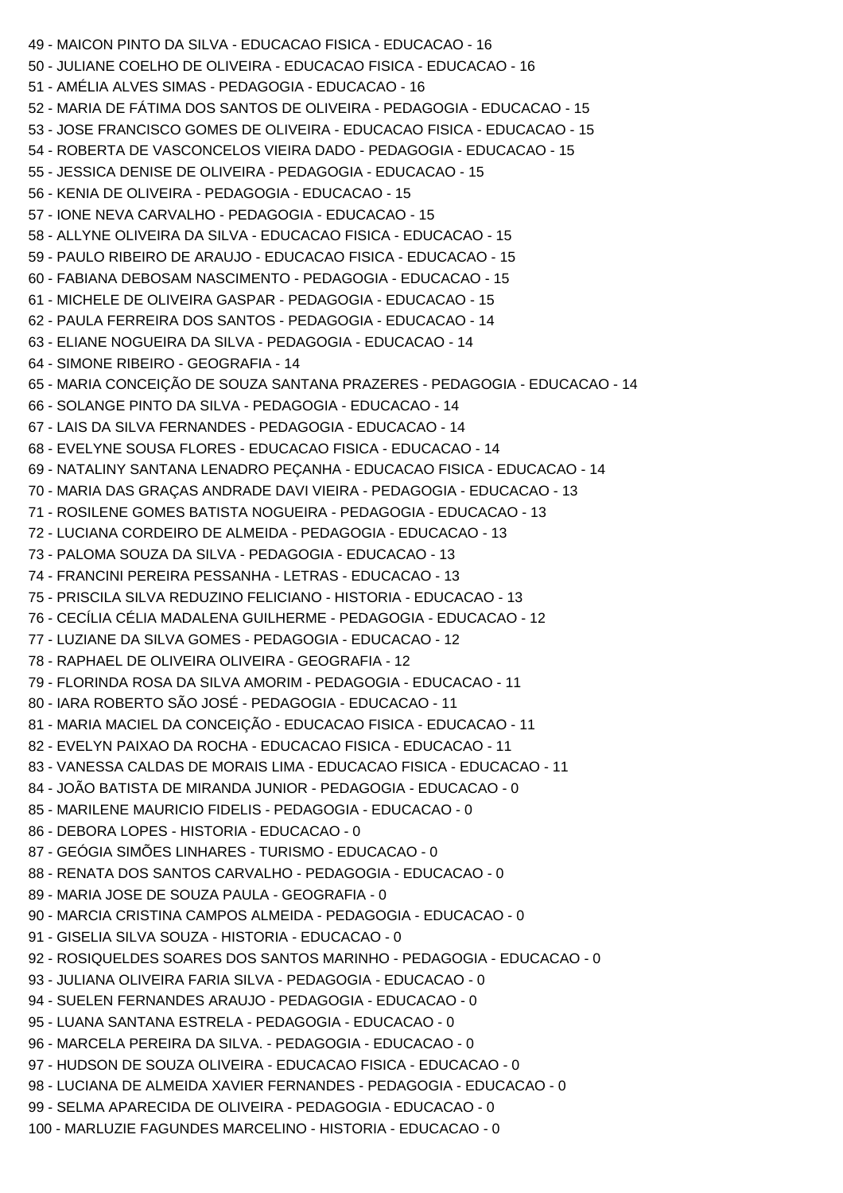```
49 - MAICON PINTO DA SILVA - EDUCACAO FISICA - EDUCACAO - 16
50 - JULIANE COELHO DE OLIVEIRA - EDUCACAO FISICA - EDUCACAO - 16
51 - AMÉLIA ALVES SIMAS - PEDAGOGIA - EDUCACAO - 16
52 - MARIA DE FÁTIMA DOS SANTOS DE OLIVEIRA - PEDAGOGIA - EDUCACAO - 15
53 - JOSE FRANCISCO GOMES DE OLIVEIRA - EDUCACAO FISICA - EDUCACAO - 15
54 - ROBERTA DE VASCONCELOS VIEIRA DADO - PEDAGOGIA - EDUCACAO - 15
55 - JESSICA DENISE DE OLIVEIRA - PEDAGOGIA - EDUCACAO - 15
56 - KENIA DE OLIVEIRA - PEDAGOGIA - EDUCACAO - 15
57 - IONE NEVA CARVALHO - PEDAGOGIA - EDUCACAO - 15
58 - ALLYNE OLIVEIRA DA SILVA - EDUCACAO FISICA - EDUCACAO - 15
59 - PAULO RIBEIRO DE ARAUJO - EDUCACAO FISICA - EDUCACAO - 15
60 - FABIANA DEBOSAM NASCIMENTO - PEDAGOGIA - EDUCACAO - 15
61 - MICHELE DE OLIVEIRA GASPAR - PEDAGOGIA - EDUCACAO - 15
62 - PAULA FERREIRA DOS SANTOS - PEDAGOGIA - EDUCACAO - 14
63 - ELIANE NOGUEIRA DA SILVA - PEDAGOGIA - EDUCACAO - 14
64 - SIMONE RIBEIRO - GEOGRAFIA - 14
65 - MARIA CONCEIÇÃO DE SOUZA SANTANA PRAZERES - PEDAGOGIA - EDUCACAO - 14
66 - SOLANGE PINTO DA SILVA - PEDAGOGIA - EDUCACAO - 14
67 - LAIS DA SILVA FERNANDES - PEDAGOGIA - EDUCACAO - 14
68 - EVELYNE SOUSA FLORES - EDUCACAO FISICA - EDUCACAO - 14
69 - NATALINY SANTANA LENADRO PEÇANHA - EDUCACAO FISICA - EDUCACAO - 14
70 - MARIA DAS GRAÇAS ANDRADE DAVI VIEIRA - PEDAGOGIA - EDUCACAO - 13
71 - ROSILENE GOMES BATISTA NOGUEIRA - PEDAGOGIA - EDUCACAO - 13
72 - LUCIANA CORDEIRO DE ALMEIDA - PEDAGOGIA - EDUCACAO - 13
73 - PALOMA SOUZA DA SILVA - PEDAGOGIA - EDUCACAO - 13
74 - FRANCINI PEREIRA PESSANHA - LETRAS - EDUCACAO - 13
75 - PRISCILA SILVA REDUZINO FELICIANO - HISTORIA - EDUCACAO - 13
76 - CECÍLIA CÉLIA MADALENA GUILHERME - PEDAGOGIA - EDUCACAO - 12
77 - LUZIANE DA SILVA GOMES - PEDAGOGIA - EDUCACAO - 12
78 - RAPHAEL DE OLIVEIRA OLIVEIRA - GEOGRAFIA - 12
79 - FLORINDA ROSA DA SILVA AMORIM - PEDAGOGIA - EDUCACAO - 11
80 - IARA ROBERTO SÃO JOSÉ - PEDAGOGIA - EDUCACAO - 11
81 - MARIA MACIEL DA CONCEIÇÃO - EDUCACAO FISICA - EDUCACAO - 11
82 - EVELYN PAIXAO DA ROCHA - EDUCACAO FISICA - EDUCACAO - 11
83 - VANESSA CALDAS DE MORAIS LIMA - EDUCACAO FISICA - EDUCACAO - 11
84 - JOÃO BATISTA DE MIRANDA JUNIOR - PEDAGOGIA - EDUCACAO - 0
85 - MARILENE MAURICIO FIDELIS - PEDAGOGIA - EDUCACAO - 0
86 - DEBORA LOPES - HISTORIA - EDUCACAO - 0
87 - GEÓGIA SIMÕES LINHARES - TURISMO - EDUCACAO - 0
88 - RENATA DOS SANTOS CARVALHO - PEDAGOGIA - EDUCACAO - 0
89 - MARIA JOSE DE SOUZA PAULA - GEOGRAFIA - 0
90 - MARCIA CRISTINA CAMPOS ALMEIDA - PEDAGOGIA - EDUCACAO - 0
91 - GISELIA SILVA SOUZA - HISTORIA - EDUCACAO - 0
92 - ROSIQUELDES SOARES DOS SANTOS MARINHO - PEDAGOGIA - EDUCACAO - 0
93 - JULIANA OLIVEIRA FARIA SILVA - PEDAGOGIA - EDUCACAO - 0
94 - SUELEN FERNANDES ARAUJO - PEDAGOGIA - EDUCACAO - 0
95 - LUANA SANTANA ESTRELA - PEDAGOGIA - EDUCACAO - 0
96 - MARCELA PEREIRA DA SILVA. - PEDAGOGIA - EDUCACAO - 0
97 - HUDSON DE SOUZA OLIVEIRA - EDUCACAO FISICA - EDUCACAO - 0
98 - LUCIANA DE ALMEIDA XAVIER FERNANDES - PEDAGOGIA - EDUCACAO - 0
99 - SELMA APARECIDA DE OLIVEIRA - PEDAGOGIA - EDUCACAO - 0
100 - MARLUZIE FAGUNDES MARCELINO - HISTORIA - EDUCACAO - 0
```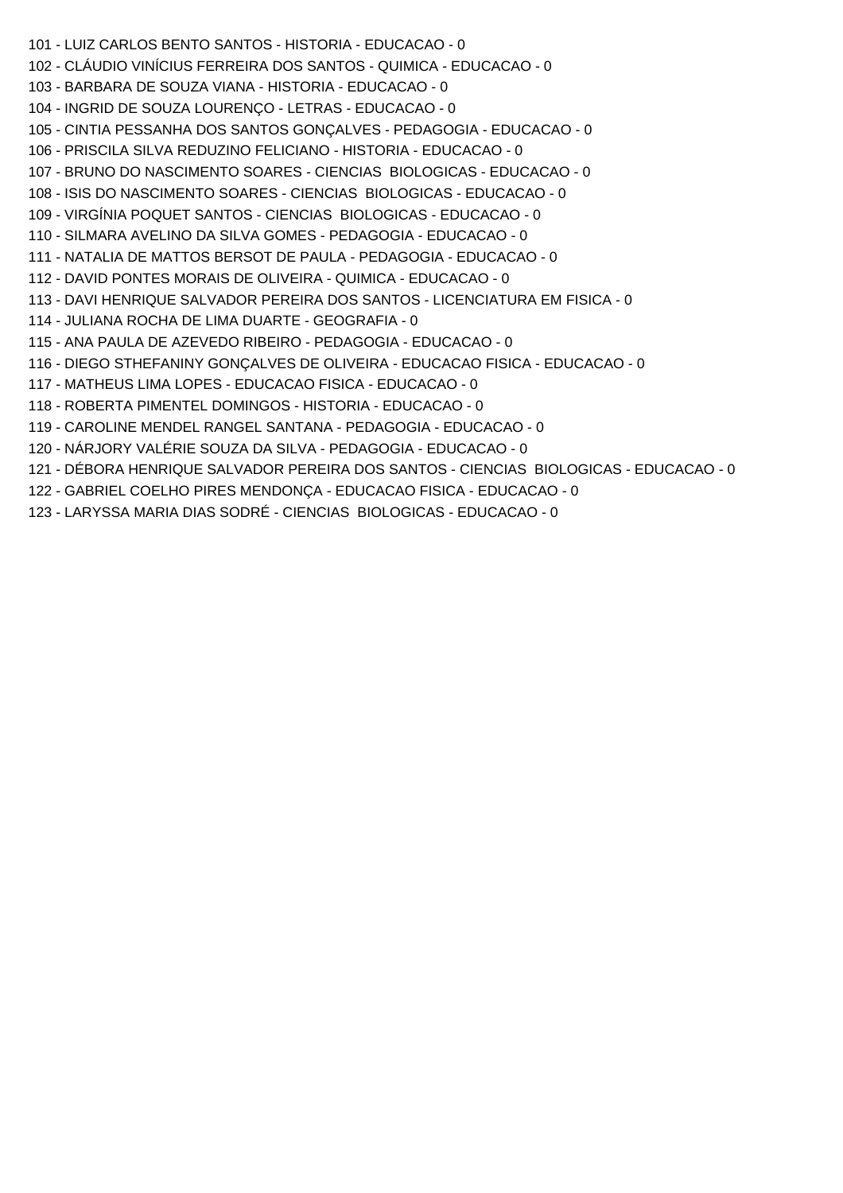101 - LUIZ CARLOS BENTO SANTOS - HISTORIA - EDUCACAO - 0 102 - CLÁUDIO VINÍCIUS FERREIRA DOS SANTOS - QUIMICA - EDUCACAO - 0 103 - BARBARA DE SOUZA VIANA - HISTORIA - EDUCACAO - 0 104 - INGRID DE SOUZA LOURENÇO - LETRAS - EDUCACAO - 0 105 - CINTIA PESSANHA DOS SANTOS GONÇALVES - PEDAGOGIA - EDUCACAO - 0 106 - PRISCILA SILVA REDUZINO FELICIANO - HISTORIA - EDUCACAO - 0 107 - BRUNO DO NASCIMENTO SOARES - CIENCIAS BIOLOGICAS - EDUCACAO - 0 108 - ISIS DO NASCIMENTO SOARES - CIENCIAS BIOLOGICAS - EDUCACAO - 0 109 - VIRGÍNIA POQUET SANTOS - CIENCIAS BIOLOGICAS - EDUCACAO - 0 110 - SILMARA AVELINO DA SILVA GOMES - PEDAGOGIA - EDUCACAO - 0 111 - NATALIA DE MATTOS BERSOT DE PAULA - PEDAGOGIA - EDUCACAO - 0 112 - DAVID PONTES MORAIS DE OLIVEIRA - QUIMICA - EDUCACAO - 0 113 - DAVI HENRIQUE SALVADOR PEREIRA DOS SANTOS - LICENCIATURA EM FISICA - 0 114 - JULIANA ROCHA DE LIMA DUARTE - GEOGRAFIA - 0 115 - ANA PAULA DE AZEVEDO RIBEIRO - PEDAGOGIA - EDUCACAO - 0 116 - DIEGO STHEFANINY GONÇALVES DE OLIVEIRA - EDUCACAO FISICA - EDUCACAO - 0 117 - MATHEUS LIMA LOPES - EDUCACAO FISICA - EDUCACAO - 0 118 - ROBERTA PIMENTEL DOMINGOS - HISTORIA - EDUCACAO - 0 119 - CAROLINE MENDEL RANGEL SANTANA - PEDAGOGIA - EDUCACAO - 0 120 - NÁRJORY VALÉRIE SOUZA DA SILVA - PEDAGOGIA - EDUCACAO - 0 121 - DÉBORA HENRIQUE SALVADOR PEREIRA DOS SANTOS - CIENCIAS BIOLOGICAS - EDUCACAO - 0 122 - GABRIEL COELHO PIRES MENDONÇA - EDUCACAO FISICA - EDUCACAO - 0

123 - LARYSSA MARIA DIAS SODRÉ - CIENCIAS BIOLOGICAS - EDUCACAO - 0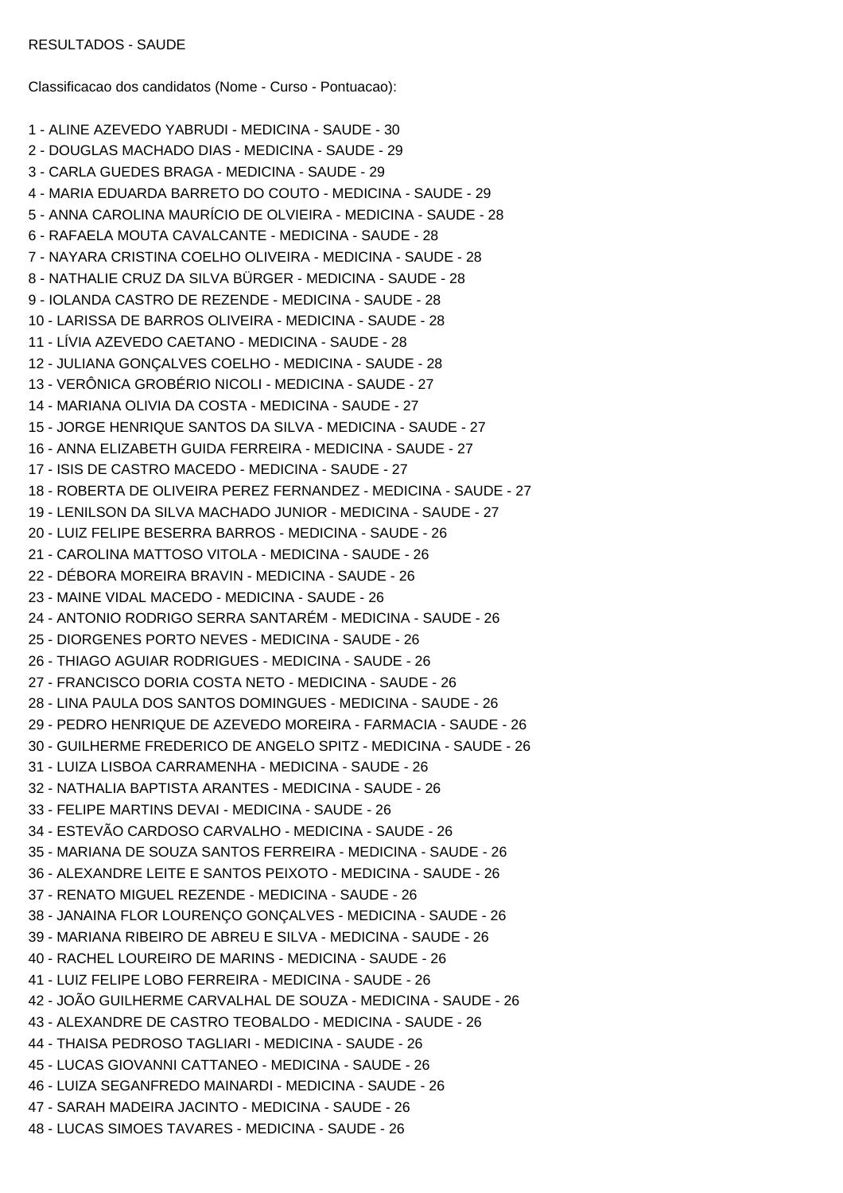Classificacao dos candidatos (Nome - Curso - Pontuacao):

1 - ALINE AZEVEDO YABRUDI - MEDICINA - SAUDE - 30 2 - DOUGLAS MACHADO DIAS - MEDICINA - SAUDE - 29 3 - CARLA GUEDES BRAGA - MEDICINA - SAUDE - 29 4 - MARIA EDUARDA BARRETO DO COUTO - MEDICINA - SAUDE - 29 5 - ANNA CAROLINA MAURÍCIO DE OLVIEIRA - MEDICINA - SAUDE - 28 6 - RAFAELA MOUTA CAVALCANTE - MEDICINA - SAUDE - 28 7 - NAYARA CRISTINA COELHO OLIVEIRA - MEDICINA - SAUDE - 28 8 - NATHALIE CRUZ DA SILVA BÜRGER - MEDICINA - SAUDE - 28 9 - IOLANDA CASTRO DE REZENDE - MEDICINA - SAUDE - 28 10 - LARISSA DE BARROS OLIVEIRA - MEDICINA - SAUDE - 28 11 - LÍVIA AZEVEDO CAETANO - MEDICINA - SAUDE - 28 12 - JULIANA GONÇALVES COELHO - MEDICINA - SAUDE - 28 13 - VERÔNICA GROBÉRIO NICOLI - MEDICINA - SAUDE - 27 14 - MARIANA OLIVIA DA COSTA - MEDICINA - SAUDE - 27 15 - JORGE HENRIQUE SANTOS DA SILVA - MEDICINA - SAUDE - 27 16 - ANNA ELIZABETH GUIDA FERREIRA - MEDICINA - SAUDE - 27 17 - ISIS DE CASTRO MACEDO - MEDICINA - SAUDE - 27 18 - ROBERTA DE OLIVEIRA PEREZ FERNANDEZ - MEDICINA - SAUDE - 27 19 - LENILSON DA SILVA MACHADO JUNIOR - MEDICINA - SAUDE - 27 20 - LUIZ FELIPE BESERRA BARROS - MEDICINA - SAUDE - 26 21 - CAROLINA MATTOSO VITOLA - MEDICINA - SAUDE - 26 22 - DÉBORA MOREIRA BRAVIN - MEDICINA - SAUDE - 26 23 - MAINE VIDAL MACEDO - MEDICINA - SAUDE - 26 24 - ANTONIO RODRIGO SERRA SANTARÉM - MEDICINA - SAUDE - 26 25 - DIORGENES PORTO NEVES - MEDICINA - SAUDE - 26 26 - THIAGO AGUIAR RODRIGUES - MEDICINA - SAUDE - 26 27 - FRANCISCO DORIA COSTA NETO - MEDICINA - SAUDE - 26 28 - LINA PAULA DOS SANTOS DOMINGUES - MEDICINA - SAUDE - 26 29 - PEDRO HENRIQUE DE AZEVEDO MOREIRA - FARMACIA - SAUDE - 26 30 - GUILHERME FREDERICO DE ANGELO SPITZ - MEDICINA - SAUDE - 26 31 - LUIZA LISBOA CARRAMENHA - MEDICINA - SAUDE - 26 32 - NATHALIA BAPTISTA ARANTES - MEDICINA - SAUDE - 26 33 - FELIPE MARTINS DEVAI - MEDICINA - SAUDE - 26 34 - ESTEVÃO CARDOSO CARVALHO - MEDICINA - SAUDE - 26 35 - MARIANA DE SOUZA SANTOS FERREIRA - MEDICINA - SAUDE - 26 36 - ALEXANDRE LEITE E SANTOS PEIXOTO - MEDICINA - SAUDE - 26 37 - RENATO MIGUEL REZENDE - MEDICINA - SAUDE - 26 38 - JANAINA FLOR LOURENÇO GONÇALVES - MEDICINA - SAUDE - 26 39 - MARIANA RIBEIRO DE ABREU E SILVA - MEDICINA - SAUDE - 26 40 - RACHEL LOUREIRO DE MARINS - MEDICINA - SAUDE - 26 41 - LUIZ FELIPE LOBO FERREIRA - MEDICINA - SAUDE - 26 42 - JOÃO GUILHERME CARVALHAL DE SOUZA - MEDICINA - SAUDE - 26 43 - ALEXANDRE DE CASTRO TEOBALDO - MEDICINA - SAUDE - 26 44 - THAISA PEDROSO TAGLIARI - MEDICINA - SAUDE - 26 45 - LUCAS GIOVANNI CATTANEO - MEDICINA - SAUDE - 26 46 - LUIZA SEGANFREDO MAINARDI - MEDICINA - SAUDE - 26 47 - SARAH MADEIRA JACINTO - MEDICINA - SAUDE - 26 48 - LUCAS SIMOES TAVARES - MEDICINA - SAUDE - 26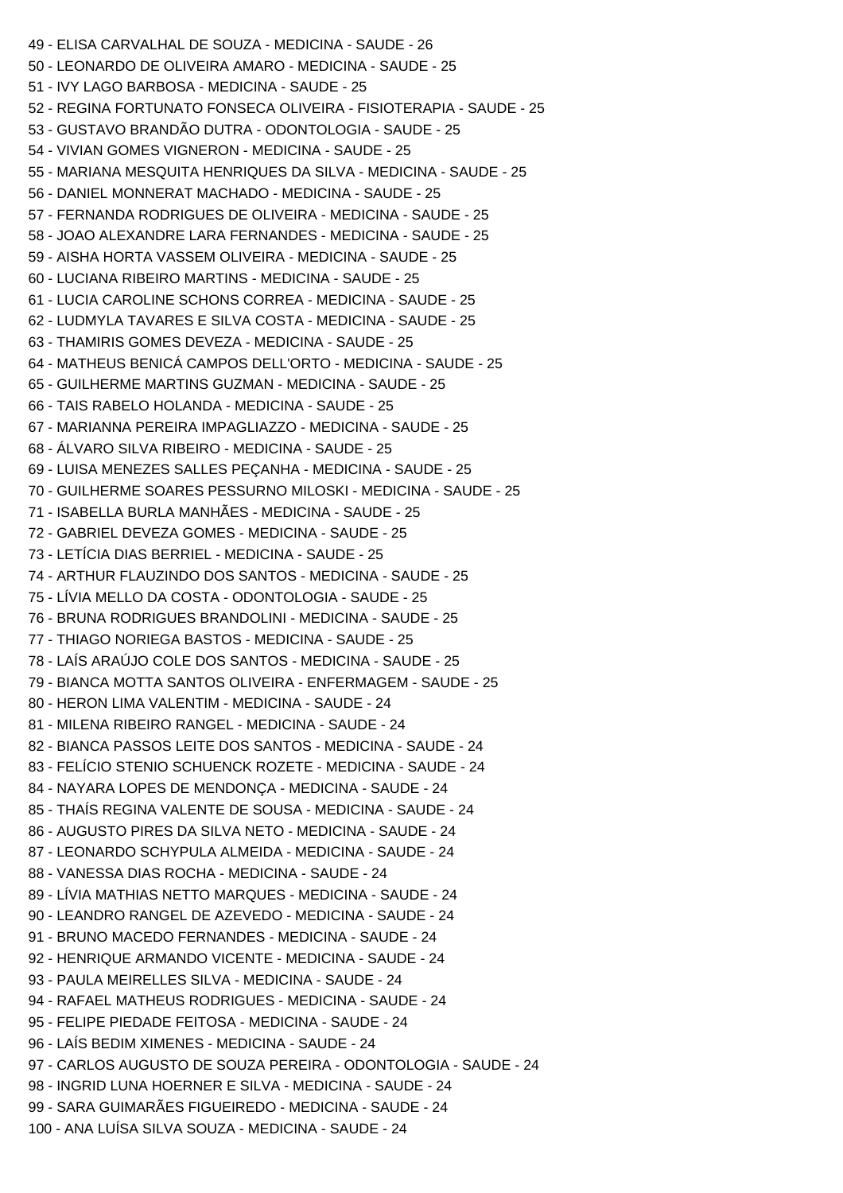49 - ELISA CARVALHAL DE SOUZA - MEDICINA - SAUDE - 26 50 - LEONARDO DE OLIVEIRA AMARO - MEDICINA - SAUDE - 25 51 - IVY LAGO BARBOSA - MEDICINA - SAUDE - 25 52 - REGINA FORTUNATO FONSECA OLIVEIRA - FISIOTERAPIA - SAUDE - 25 53 - GUSTAVO BRANDÃO DUTRA - ODONTOLOGIA - SAUDE - 25 54 - VIVIAN GOMES VIGNERON - MEDICINA - SAUDE - 25 55 - MARIANA MESQUITA HENRIQUES DA SILVA - MEDICINA - SAUDE - 25 56 - DANIEL MONNERAT MACHADO - MEDICINA - SAUDE - 25 57 - FERNANDA RODRIGUES DE OLIVEIRA - MEDICINA - SAUDE - 25 58 - JOAO ALEXANDRE LARA FERNANDES - MEDICINA - SAUDE - 25 59 - AISHA HORTA VASSEM OLIVEIRA - MEDICINA - SAUDE - 25 60 - LUCIANA RIBEIRO MARTINS - MEDICINA - SAUDE - 25 61 - LUCIA CAROLINE SCHONS CORREA - MEDICINA - SAUDE - 25 62 - LUDMYLA TAVARES E SILVA COSTA - MEDICINA - SAUDE - 25 63 - THAMIRIS GOMES DEVEZA - MEDICINA - SAUDE - 25 64 - MATHEUS BENICÁ CAMPOS DELL'ORTO - MEDICINA - SAUDE - 25 65 - GUILHERME MARTINS GUZMAN - MEDICINA - SAUDE - 25 66 - TAIS RABELO HOLANDA - MEDICINA - SAUDE - 25 67 - MARIANNA PEREIRA IMPAGLIAZZO - MEDICINA - SAUDE - 25 68 - ÁLVARO SILVA RIBEIRO - MEDICINA - SAUDE - 25 69 - LUISA MENEZES SALLES PEÇANHA - MEDICINA - SAUDE - 25 70 - GUILHERME SOARES PESSURNO MILOSKI - MEDICINA - SAUDE - 25 71 - ISABELLA BURLA MANHÃES - MEDICINA - SAUDE - 25 72 - GABRIEL DEVEZA GOMES - MEDICINA - SAUDE - 25 73 - LETÍCIA DIAS BERRIEL - MEDICINA - SAUDE - 25 74 - ARTHUR FLAUZINDO DOS SANTOS - MEDICINA - SAUDE - 25 75 - LÍVIA MELLO DA COSTA - ODONTOLOGIA - SAUDE - 25 76 - BRUNA RODRIGUES BRANDOLINI - MEDICINA - SAUDE - 25 77 - THIAGO NORIEGA BASTOS - MEDICINA - SAUDE - 25 78 - LAÍS ARAÚJO COLE DOS SANTOS - MEDICINA - SAUDE - 25 79 - BIANCA MOTTA SANTOS OLIVEIRA - ENFERMAGEM - SAUDE - 25 80 - HERON LIMA VALENTIM - MEDICINA - SAUDE - 24 81 - MILENA RIBEIRO RANGEL - MEDICINA - SAUDE - 24 82 - BIANCA PASSOS LEITE DOS SANTOS - MEDICINA - SAUDE - 24 83 - FELÍCIO STENIO SCHUENCK ROZETE - MEDICINA - SAUDE - 24 84 - NAYARA LOPES DE MENDONÇA - MEDICINA - SAUDE - 24 85 - THAÍS REGINA VALENTE DE SOUSA - MEDICINA - SAUDE - 24 86 - AUGUSTO PIRES DA SILVA NETO - MEDICINA - SAUDE - 24 87 - LEONARDO SCHYPULA ALMEIDA - MEDICINA - SAUDE - 24 88 - VANESSA DIAS ROCHA - MEDICINA - SAUDE - 24 89 - LÍVIA MATHIAS NETTO MARQUES - MEDICINA - SAUDE - 24 90 - LEANDRO RANGEL DE AZEVEDO - MEDICINA - SAUDE - 24 91 - BRUNO MACEDO FERNANDES - MEDICINA - SAUDE - 24 92 - HENRIQUE ARMANDO VICENTE - MEDICINA - SAUDE - 24 93 - PAULA MEIRELLES SILVA - MEDICINA - SAUDE - 24 94 - RAFAEL MATHEUS RODRIGUES - MEDICINA - SAUDE - 24 95 - FELIPE PIEDADE FEITOSA - MEDICINA - SAUDE - 24 96 - LAÍS BEDIM XIMENES - MEDICINA - SAUDE - 24 97 - CARLOS AUGUSTO DE SOUZA PEREIRA - ODONTOLOGIA - SAUDE - 24 98 - INGRID LUNA HOERNER E SILVA - MEDICINA - SAUDE - 24 99 - SARA GUIMARÃES FIGUEIREDO - MEDICINA - SAUDE - 24 100 - ANA LUÍSA SILVA SOUZA - MEDICINA - SAUDE - 24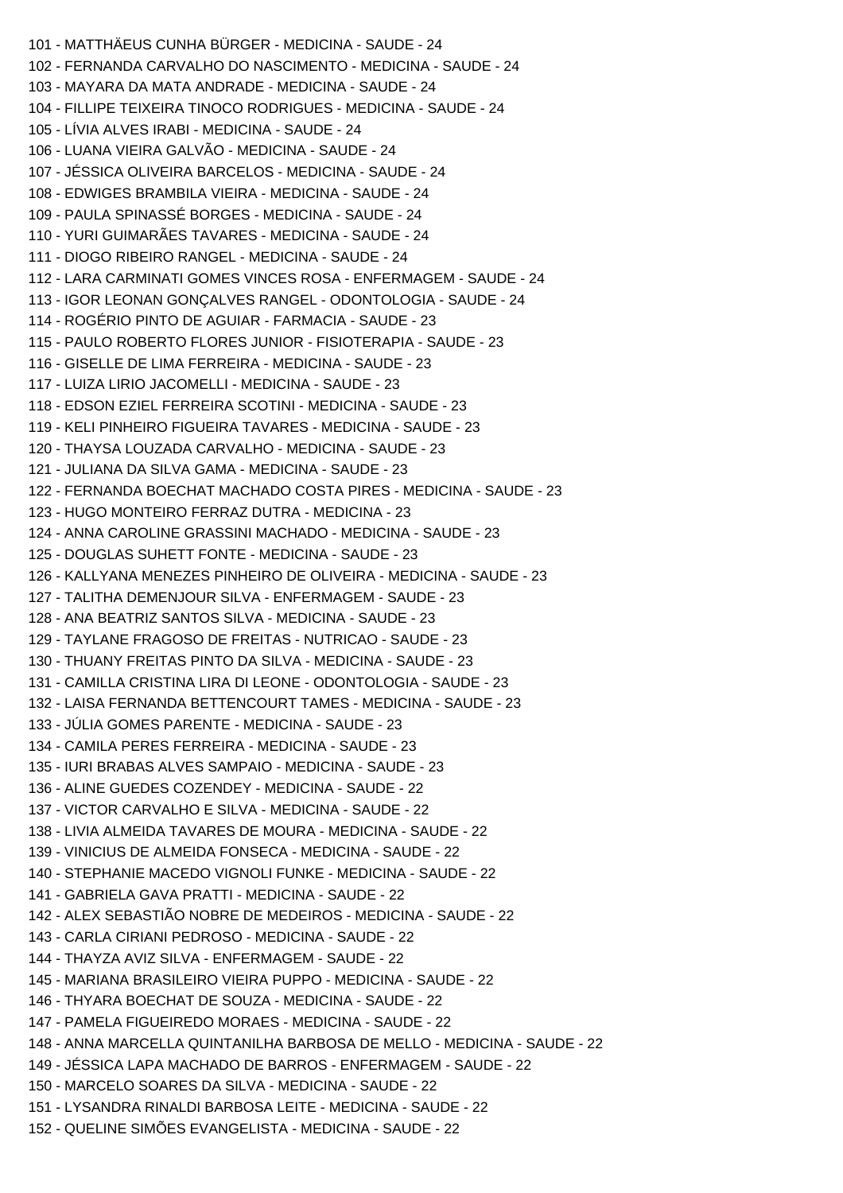101 - MATTHÄEUS CUNHA BÜRGER - MEDICINA - SAUDE - 24 102 - FERNANDA CARVALHO DO NASCIMENTO - MEDICINA - SAUDE - 24 103 - MAYARA DA MATA ANDRADE - MEDICINA - SAUDE - 24 104 - FILLIPE TEIXEIRA TINOCO RODRIGUES - MEDICINA - SAUDE - 24 105 - LÍVIA ALVES IRABI - MEDICINA - SAUDE - 24 106 - LUANA VIEIRA GALVÃO - MEDICINA - SAUDE - 24 107 - JÉSSICA OLIVEIRA BARCELOS - MEDICINA - SAUDE - 24 108 - EDWIGES BRAMBILA VIEIRA - MEDICINA - SAUDE - 24 109 - PAULA SPINASSÉ BORGES - MEDICINA - SAUDE - 24 110 - YURI GUIMARÃES TAVARES - MEDICINA - SAUDE - 24 111 - DIOGO RIBEIRO RANGEL - MEDICINA - SAUDE - 24 112 - LARA CARMINATI GOMES VINCES ROSA - ENFERMAGEM - SAUDE - 24 113 - IGOR LEONAN GONÇALVES RANGEL - ODONTOLOGIA - SAUDE - 24 114 - ROGÉRIO PINTO DE AGUIAR - FARMACIA - SAUDE - 23 115 - PAULO ROBERTO FLORES JUNIOR - FISIOTERAPIA - SAUDE - 23 116 - GISELLE DE LIMA FERREIRA - MEDICINA - SAUDE - 23 117 - LUIZA LIRIO JACOMELLI - MEDICINA - SAUDE - 23 118 - EDSON EZIEL FERREIRA SCOTINI - MEDICINA - SAUDE - 23 119 - KELI PINHEIRO FIGUEIRA TAVARES - MEDICINA - SAUDE - 23 120 - THAYSA LOUZADA CARVALHO - MEDICINA - SAUDE - 23 121 - JULIANA DA SILVA GAMA - MEDICINA - SAUDE - 23 122 - FERNANDA BOECHAT MACHADO COSTA PIRES - MEDICINA - SAUDE - 23 123 - HUGO MONTEIRO FERRAZ DUTRA - MEDICINA - 23 124 - ANNA CAROLINE GRASSINI MACHADO - MEDICINA - SAUDE - 23 125 - DOUGLAS SUHETT FONTE - MEDICINA - SAUDE - 23 126 - KALLYANA MENEZES PINHEIRO DE OLIVEIRA - MEDICINA - SAUDE - 23 127 - TALITHA DEMENJOUR SILVA - ENFERMAGEM - SAUDE - 23 128 - ANA BEATRIZ SANTOS SILVA - MEDICINA - SAUDE - 23 129 - TAYLANE FRAGOSO DE FREITAS - NUTRICAO - SAUDE - 23 130 - THUANY FREITAS PINTO DA SILVA - MEDICINA - SAUDE - 23 131 - CAMILLA CRISTINA LIRA DI LEONE - ODONTOLOGIA - SAUDE - 23 132 - LAISA FERNANDA BETTENCOURT TAMES - MEDICINA - SAUDE - 23 133 - JÚLIA GOMES PARENTE - MEDICINA - SAUDE - 23 134 - CAMILA PERES FERREIRA - MEDICINA - SAUDE - 23 135 - IURI BRABAS ALVES SAMPAIO - MEDICINA - SAUDE - 23 136 - ALINE GUEDES COZENDEY - MEDICINA - SAUDE - 22 137 - VICTOR CARVALHO E SILVA - MEDICINA - SAUDE - 22 138 - LIVIA ALMEIDA TAVARES DE MOURA - MEDICINA - SAUDE - 22 139 - VINICIUS DE ALMEIDA FONSECA - MEDICINA - SAUDE - 22 140 - STEPHANIE MACEDO VIGNOLI FUNKE - MEDICINA - SAUDE - 22 141 - GABRIELA GAVA PRATTI - MEDICINA - SAUDE - 22 142 - ALEX SEBASTIÃO NOBRE DE MEDEIROS - MEDICINA - SAUDE - 22 143 - CARLA CIRIANI PEDROSO - MEDICINA - SAUDE - 22 144 - THAYZA AVIZ SILVA - ENFERMAGEM - SAUDE - 22 145 - MARIANA BRASILEIRO VIEIRA PUPPO - MEDICINA - SAUDE - 22 146 - THYARA BOECHAT DE SOUZA - MEDICINA - SAUDE - 22 147 - PAMELA FIGUEIREDO MORAES - MEDICINA - SAUDE - 22 148 - ANNA MARCELLA QUINTANILHA BARBOSA DE MELLO - MEDICINA - SAUDE - 22 149 - JÉSSICA LAPA MACHADO DE BARROS - ENFERMAGEM - SAUDE - 22 150 - MARCELO SOARES DA SILVA - MEDICINA - SAUDE - 22 151 - LYSANDRA RINALDI BARBOSA LEITE - MEDICINA - SAUDE - 22 152 - QUELINE SIMÕES EVANGELISTA - MEDICINA - SAUDE - 22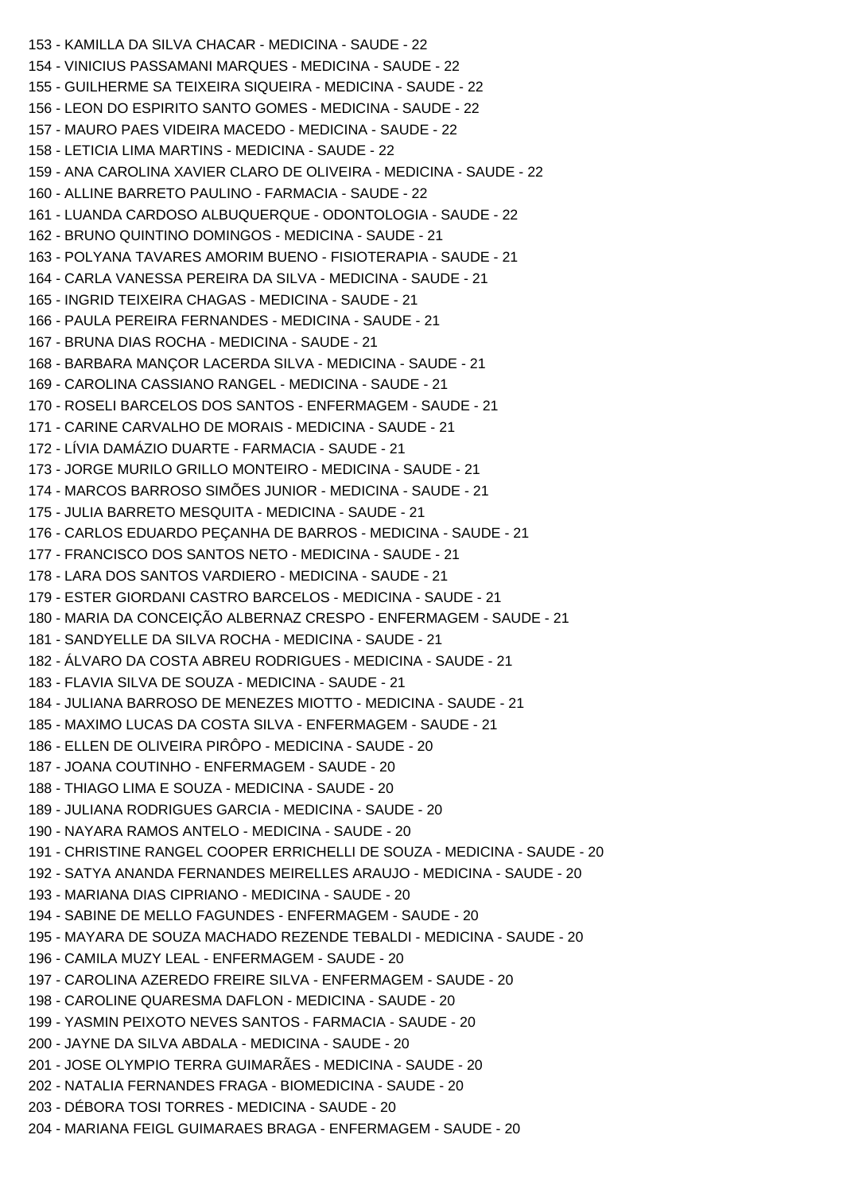153 - KAMILLA DA SILVA CHACAR - MEDICINA - SAUDE - 22 154 - VINICIUS PASSAMANI MARQUES - MEDICINA - SAUDE - 22 155 - GUILHERME SA TEIXEIRA SIQUEIRA - MEDICINA - SAUDE - 22 156 - LEON DO ESPIRITO SANTO GOMES - MEDICINA - SAUDE - 22 157 - MAURO PAES VIDEIRA MACEDO - MEDICINA - SAUDE - 22 158 - LETICIA LIMA MARTINS - MEDICINA - SAUDE - 22 159 - ANA CAROLINA XAVIER CLARO DE OLIVEIRA - MEDICINA - SAUDE - 22 160 - ALLINE BARRETO PAULINO - FARMACIA - SAUDE - 22 161 - LUANDA CARDOSO ALBUQUERQUE - ODONTOLOGIA - SAUDE - 22 162 - BRUNO QUINTINO DOMINGOS - MEDICINA - SAUDE - 21 163 - POLYANA TAVARES AMORIM BUENO - FISIOTERAPIA - SAUDE - 21 164 - CARLA VANESSA PEREIRA DA SILVA - MEDICINA - SAUDE - 21 165 - INGRID TEIXEIRA CHAGAS - MEDICINA - SAUDE - 21 166 - PAULA PEREIRA FERNANDES - MEDICINA - SAUDE - 21 167 - BRUNA DIAS ROCHA - MEDICINA - SAUDE - 21 168 - BARBARA MANÇOR LACERDA SILVA - MEDICINA - SAUDE - 21 169 - CAROLINA CASSIANO RANGEL - MEDICINA - SAUDE - 21 170 - ROSELI BARCELOS DOS SANTOS - ENFERMAGEM - SAUDE - 21 171 - CARINE CARVALHO DE MORAIS - MEDICINA - SAUDE - 21 172 - LÍVIA DAMÁZIO DUARTE - FARMACIA - SAUDE - 21 173 - JORGE MURILO GRILLO MONTEIRO - MEDICINA - SAUDE - 21 174 - MARCOS BARROSO SIMÕES JUNIOR - MEDICINA - SAUDE - 21 175 - JULIA BARRETO MESQUITA - MEDICINA - SAUDE - 21 176 - CARLOS EDUARDO PEÇANHA DE BARROS - MEDICINA - SAUDE - 21 177 - FRANCISCO DOS SANTOS NETO - MEDICINA - SAUDE - 21 178 - LARA DOS SANTOS VARDIERO - MEDICINA - SAUDE - 21 179 - ESTER GIORDANI CASTRO BARCELOS - MEDICINA - SAUDE - 21 180 - MARIA DA CONCEIÇÃO ALBERNAZ CRESPO - ENFERMAGEM - SAUDE - 21 181 - SANDYELLE DA SILVA ROCHA - MEDICINA - SAUDE - 21 182 - ÁLVARO DA COSTA ABREU RODRIGUES - MEDICINA - SAUDE - 21 183 - FLAVIA SILVA DE SOUZA - MEDICINA - SAUDE - 21 184 - JULIANA BARROSO DE MENEZES MIOTTO - MEDICINA - SAUDE - 21 185 - MAXIMO LUCAS DA COSTA SILVA - ENFERMAGEM - SAUDE - 21 186 - ELLEN DE OLIVEIRA PIRÔPO - MEDICINA - SAUDE - 20 187 - JOANA COUTINHO - ENFERMAGEM - SAUDE - 20 188 - THIAGO LIMA E SOUZA - MEDICINA - SAUDE - 20 189 - JULIANA RODRIGUES GARCIA - MEDICINA - SAUDE - 20 190 - NAYARA RAMOS ANTELO - MEDICINA - SAUDE - 20 191 - CHRISTINE RANGEL COOPER ERRICHELLI DE SOUZA - MEDICINA - SAUDE - 20 192 - SATYA ANANDA FERNANDES MEIRELLES ARAUJO - MEDICINA - SAUDE - 20 193 - MARIANA DIAS CIPRIANO - MEDICINA - SAUDE - 20 194 - SABINE DE MELLO FAGUNDES - ENFERMAGEM - SAUDE - 20 195 - MAYARA DE SOUZA MACHADO REZENDE TEBALDI - MEDICINA - SAUDE - 20 196 - CAMILA MUZY LEAL - ENFERMAGEM - SAUDE - 20 197 - CAROLINA AZEREDO FREIRE SILVA - ENFERMAGEM - SAUDE - 20 198 - CAROLINE QUARESMA DAFLON - MEDICINA - SAUDE - 20 199 - YASMIN PEIXOTO NEVES SANTOS - FARMACIA - SAUDE - 20 200 - JAYNE DA SILVA ABDALA - MEDICINA - SAUDE - 20 201 - JOSE OLYMPIO TERRA GUIMARÃES - MEDICINA - SAUDE - 20 202 - NATALIA FERNANDES FRAGA - BIOMEDICINA - SAUDE - 20 203 - DÉBORA TOSI TORRES - MEDICINA - SAUDE - 20 204 - MARIANA FEIGL GUIMARAES BRAGA - ENFERMAGEM - SAUDE - 20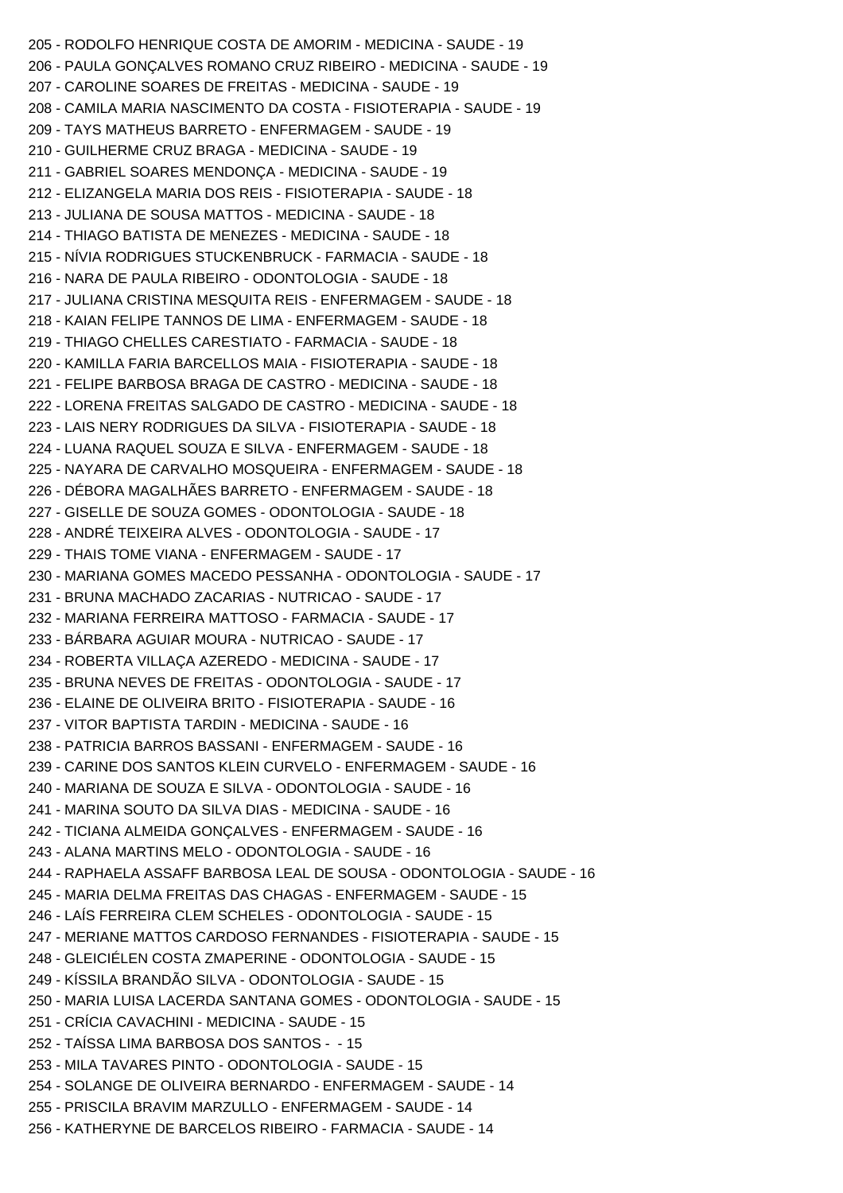205 - RODOLFO HENRIQUE COSTA DE AMORIM - MEDICINA - SAUDE - 19 206 - PAULA GONÇALVES ROMANO CRUZ RIBEIRO - MEDICINA - SAUDE - 19 207 - CAROLINE SOARES DE FREITAS - MEDICINA - SAUDE - 19 208 - CAMILA MARIA NASCIMENTO DA COSTA - FISIOTERAPIA - SAUDE - 19 209 - TAYS MATHEUS BARRETO - ENFERMAGEM - SAUDE - 19 210 - GUILHERME CRUZ BRAGA - MEDICINA - SAUDE - 19 211 - GABRIEL SOARES MENDONÇA - MEDICINA - SAUDE - 19 212 - ELIZANGELA MARIA DOS REIS - FISIOTERAPIA - SAUDE - 18 213 - JULIANA DE SOUSA MATTOS - MEDICINA - SAUDE - 18 214 - THIAGO BATISTA DE MENEZES - MEDICINA - SAUDE - 18 215 - NÍVIA RODRIGUES STUCKENBRUCK - FARMACIA - SAUDE - 18 216 - NARA DE PAULA RIBEIRO - ODONTOLOGIA - SAUDE - 18 217 - JULIANA CRISTINA MESQUITA REIS - ENFERMAGEM - SAUDE - 18 218 - KAIAN FELIPE TANNOS DE LIMA - ENFERMAGEM - SAUDE - 18 219 - THIAGO CHELLES CARESTIATO - FARMACIA - SAUDE - 18 220 - KAMILLA FARIA BARCELLOS MAIA - FISIOTERAPIA - SAUDE - 18 221 - FELIPE BARBOSA BRAGA DE CASTRO - MEDICINA - SAUDE - 18 222 - LORENA FREITAS SALGADO DE CASTRO - MEDICINA - SAUDE - 18 223 - LAIS NERY RODRIGUES DA SILVA - FISIOTERAPIA - SAUDE - 18 224 - LUANA RAQUEL SOUZA E SILVA - ENFERMAGEM - SAUDE - 18 225 - NAYARA DE CARVALHO MOSQUEIRA - ENFERMAGEM - SAUDE - 18 226 - DÉBORA MAGALHÃES BARRETO - ENFERMAGEM - SAUDE - 18 227 - GISELLE DE SOUZA GOMES - ODONTOLOGIA - SAUDE - 18 228 - ANDRÉ TEIXEIRA ALVES - ODONTOLOGIA - SAUDE - 17 229 - THAIS TOME VIANA - ENFERMAGEM - SAUDE - 17 230 - MARIANA GOMES MACEDO PESSANHA - ODONTOLOGIA - SAUDE - 17 231 - BRUNA MACHADO ZACARIAS - NUTRICAO - SAUDE - 17 232 - MARIANA FERREIRA MATTOSO - FARMACIA - SAUDE - 17 233 - BÁRBARA AGUIAR MOURA - NUTRICAO - SAUDE - 17 234 - ROBERTA VILLAÇA AZEREDO - MEDICINA - SAUDE - 17 235 - BRUNA NEVES DE FREITAS - ODONTOLOGIA - SAUDE - 17 236 - ELAINE DE OLIVEIRA BRITO - FISIOTERAPIA - SAUDE - 16 237 - VITOR BAPTISTA TARDIN - MEDICINA - SAUDE - 16 238 - PATRICIA BARROS BASSANI - ENFERMAGEM - SAUDE - 16 239 - CARINE DOS SANTOS KLEIN CURVELO - ENFERMAGEM - SAUDE - 16 240 - MARIANA DE SOUZA E SILVA - ODONTOLOGIA - SAUDE - 16 241 - MARINA SOUTO DA SILVA DIAS - MEDICINA - SAUDE - 16 242 - TICIANA ALMEIDA GONÇALVES - ENFERMAGEM - SAUDE - 16 243 - ALANA MARTINS MELO - ODONTOLOGIA - SAUDE - 16 244 - RAPHAELA ASSAFF BARBOSA LEAL DE SOUSA - ODONTOLOGIA - SAUDE - 16 245 - MARIA DELMA FREITAS DAS CHAGAS - ENFERMAGEM - SAUDE - 15 246 - LAÍS FERREIRA CLEM SCHELES - ODONTOLOGIA - SAUDE - 15 247 - MERIANE MATTOS CARDOSO FERNANDES - FISIOTERAPIA - SAUDE - 15 248 - GLEICIÉLEN COSTA ZMAPERINE - ODONTOLOGIA - SAUDE - 15 249 - KÍSSILA BRANDÃO SILVA - ODONTOLOGIA - SAUDE - 15 250 - MARIA LUISA LACERDA SANTANA GOMES - ODONTOLOGIA - SAUDE - 15 251 - CRÍCIA CAVACHINI - MEDICINA - SAUDE - 15 252 - TAÍSSA LIMA BARBOSA DOS SANTOS - - 15 253 - MILA TAVARES PINTO - ODONTOLOGIA - SAUDE - 15 254 - SOLANGE DE OLIVEIRA BERNARDO - ENFERMAGEM - SAUDE - 14 255 - PRISCILA BRAVIM MARZULLO - ENFERMAGEM - SAUDE - 14 256 - KATHERYNE DE BARCELOS RIBEIRO - FARMACIA - SAUDE - 14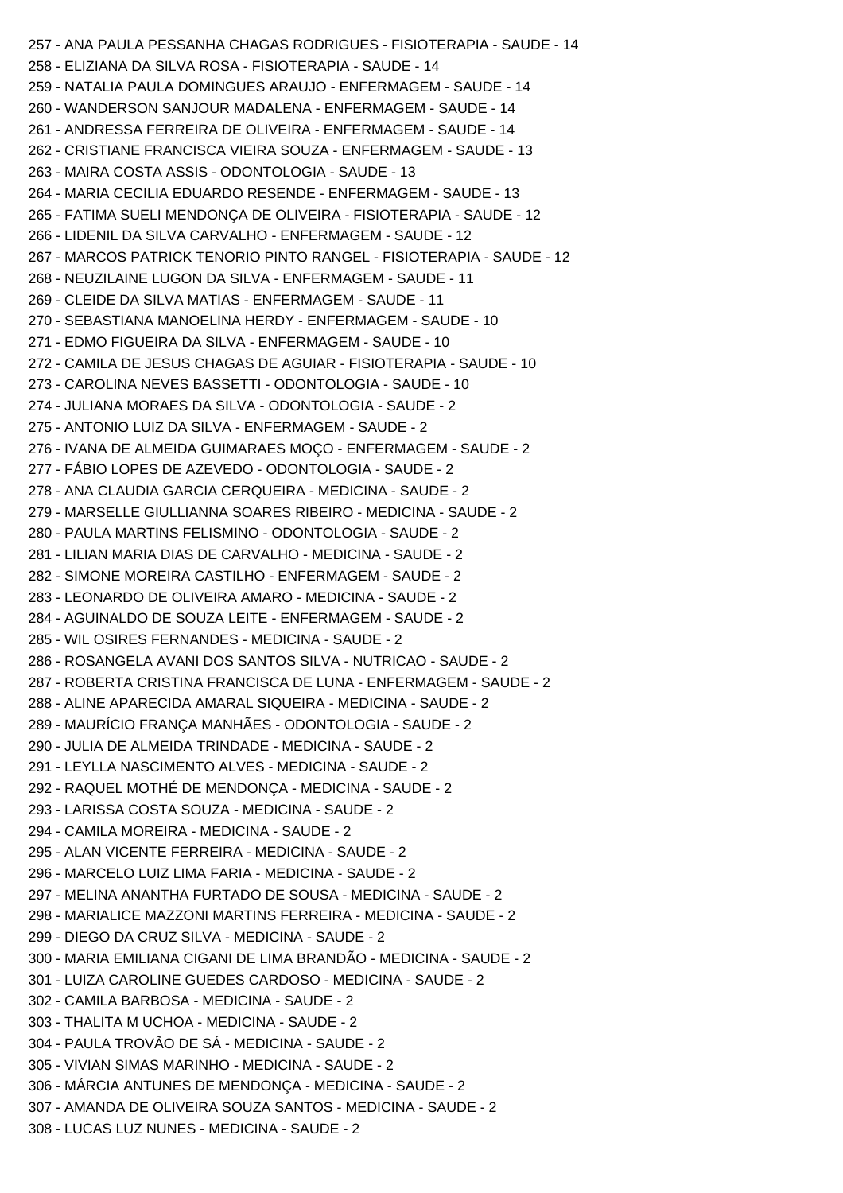257 - ANA PAULA PESSANHA CHAGAS RODRIGUES - FISIOTERAPIA - SAUDE - 14 258 - ELIZIANA DA SILVA ROSA - FISIOTERAPIA - SAUDE - 14 259 - NATALIA PAULA DOMINGUES ARAUJO - ENFERMAGEM - SAUDE - 14 260 - WANDERSON SANJOUR MADALENA - ENFERMAGEM - SAUDE - 14 261 - ANDRESSA FERREIRA DE OLIVEIRA - ENFERMAGEM - SAUDE - 14 262 - CRISTIANE FRANCISCA VIEIRA SOUZA - ENFERMAGEM - SAUDE - 13 263 - MAIRA COSTA ASSIS - ODONTOLOGIA - SAUDE - 13 264 - MARIA CECILIA EDUARDO RESENDE - ENFERMAGEM - SAUDE - 13 265 - FATIMA SUELI MENDONÇA DE OLIVEIRA - FISIOTERAPIA - SAUDE - 12 266 - LIDENIL DA SILVA CARVALHO - ENFERMAGEM - SAUDE - 12 267 - MARCOS PATRICK TENORIO PINTO RANGEL - FISIOTERAPIA - SAUDE - 12 268 - NEUZILAINE LUGON DA SILVA - ENFERMAGEM - SAUDE - 11 269 - CLEIDE DA SILVA MATIAS - ENFERMAGEM - SAUDE - 11 270 - SEBASTIANA MANOELINA HERDY - ENFERMAGEM - SAUDE - 10 271 - EDMO FIGUEIRA DA SILVA - ENFERMAGEM - SAUDE - 10 272 - CAMILA DE JESUS CHAGAS DE AGUIAR - FISIOTERAPIA - SAUDE - 10 273 - CAROLINA NEVES BASSETTI - ODONTOLOGIA - SAUDE - 10 274 - JULIANA MORAES DA SILVA - ODONTOLOGIA - SAUDE - 2 275 - ANTONIO LUIZ DA SILVA - ENFERMAGEM - SAUDE - 2 276 - IVANA DE ALMEIDA GUIMARAES MOÇO - ENFERMAGEM - SAUDE - 2 277 - FÁBIO LOPES DE AZEVEDO - ODONTOLOGIA - SAUDE - 2 278 - ANA CLAUDIA GARCIA CERQUEIRA - MEDICINA - SAUDE - 2 279 - MARSELLE GIULLIANNA SOARES RIBEIRO - MEDICINA - SAUDE - 2 280 - PAULA MARTINS FELISMINO - ODONTOLOGIA - SAUDE - 2 281 - LILIAN MARIA DIAS DE CARVALHO - MEDICINA - SAUDE - 2 282 - SIMONE MOREIRA CASTILHO - ENFERMAGEM - SAUDE - 2 283 - LEONARDO DE OLIVEIRA AMARO - MEDICINA - SAUDE - 2 284 - AGUINALDO DE SOUZA LEITE - ENFERMAGEM - SAUDE - 2 285 - WIL OSIRES FERNANDES - MEDICINA - SAUDE - 2 286 - ROSANGELA AVANI DOS SANTOS SILVA - NUTRICAO - SAUDE - 2 287 - ROBERTA CRISTINA FRANCISCA DE LUNA - ENFERMAGEM - SAUDE - 2 288 - ALINE APARECIDA AMARAL SIQUEIRA - MEDICINA - SAUDE - 2 289 - MAURÍCIO FRANÇA MANHÃES - ODONTOLOGIA - SAUDE - 2 290 - JULIA DE ALMEIDA TRINDADE - MEDICINA - SAUDE - 2 291 - LEYLLA NASCIMENTO ALVES - MEDICINA - SAUDE - 2 292 - RAQUEL MOTHÉ DE MENDONÇA - MEDICINA - SAUDE - 2 293 - LARISSA COSTA SOUZA - MEDICINA - SAUDE - 2 294 - CAMILA MOREIRA - MEDICINA - SAUDE - 2 295 - ALAN VICENTE FERREIRA - MEDICINA - SAUDE - 2 296 - MARCELO LUIZ LIMA FARIA - MEDICINA - SAUDE - 2 297 - MELINA ANANTHA FURTADO DE SOUSA - MEDICINA - SAUDE - 2 298 - MARIALICE MAZZONI MARTINS FERREIRA - MEDICINA - SAUDE - 2 299 - DIEGO DA CRUZ SILVA - MEDICINA - SAUDE - 2 300 - MARIA EMILIANA CIGANI DE LIMA BRANDÃO - MEDICINA - SAUDE - 2 301 - LUIZA CAROLINE GUEDES CARDOSO - MEDICINA - SAUDE - 2 302 - CAMILA BARBOSA - MEDICINA - SAUDE - 2 303 - THALITA M UCHOA - MEDICINA - SAUDE - 2 304 - PAULA TROVÃO DE SÁ - MEDICINA - SAUDE - 2 305 - VIVIAN SIMAS MARINHO - MEDICINA - SAUDE - 2 306 - MÁRCIA ANTUNES DE MENDONÇA - MEDICINA - SAUDE - 2 307 - AMANDA DE OLIVEIRA SOUZA SANTOS - MEDICINA - SAUDE - 2 308 - LUCAS LUZ NUNES - MEDICINA - SAUDE - 2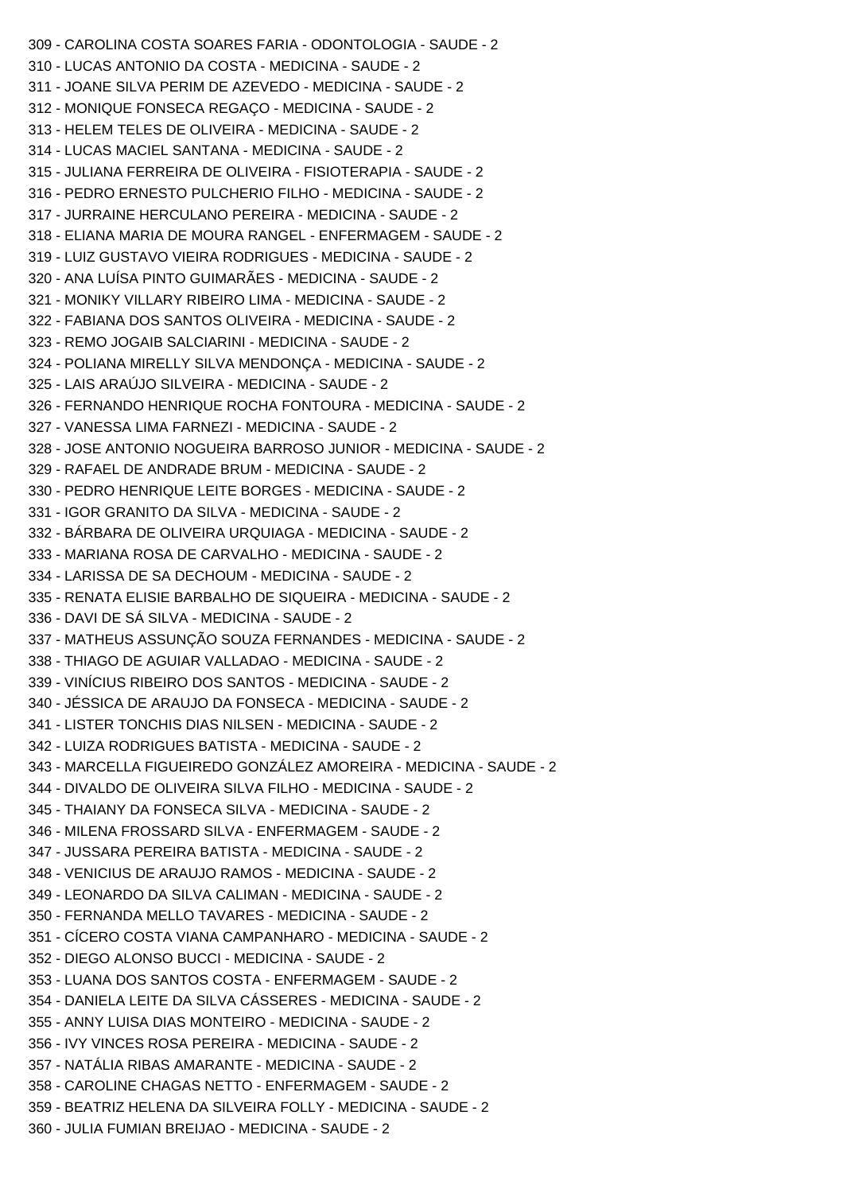309 - CAROLINA COSTA SOARES FARIA - ODONTOLOGIA - SAUDE - 2 310 - LUCAS ANTONIO DA COSTA - MEDICINA - SAUDE - 2 311 - JOANE SILVA PERIM DE AZEVEDO - MEDICINA - SAUDE - 2 312 - MONIQUE FONSECA REGAÇO - MEDICINA - SAUDE - 2 313 - HELEM TELES DE OLIVEIRA - MEDICINA - SAUDE - 2 314 - LUCAS MACIEL SANTANA - MEDICINA - SAUDE - 2 315 - JULIANA FERREIRA DE OLIVEIRA - FISIOTERAPIA - SAUDE - 2 316 - PEDRO ERNESTO PULCHERIO FILHO - MEDICINA - SAUDE - 2 317 - JURRAINE HERCULANO PEREIRA - MEDICINA - SAUDE - 2 318 - ELIANA MARIA DE MOURA RANGEL - ENFERMAGEM - SAUDE - 2 319 - LUIZ GUSTAVO VIEIRA RODRIGUES - MEDICINA - SAUDE - 2 320 - ANA LUÍSA PINTO GUIMARÃES - MEDICINA - SAUDE - 2 321 - MONIKY VILLARY RIBEIRO LIMA - MEDICINA - SAUDE - 2 322 - FABIANA DOS SANTOS OLIVEIRA - MEDICINA - SAUDE - 2 323 - REMO JOGAIB SALCIARINI - MEDICINA - SAUDE - 2 324 - POLIANA MIRELLY SILVA MENDONÇA - MEDICINA - SAUDE - 2 325 - LAIS ARAÚJO SILVEIRA - MEDICINA - SAUDE - 2 326 - FERNANDO HENRIQUE ROCHA FONTOURA - MEDICINA - SAUDE - 2 327 - VANESSA LIMA FARNEZI - MEDICINA - SAUDE - 2 328 - JOSE ANTONIO NOGUEIRA BARROSO JUNIOR - MEDICINA - SAUDE - 2 329 - RAFAEL DE ANDRADE BRUM - MEDICINA - SAUDE - 2 330 - PEDRO HENRIQUE LEITE BORGES - MEDICINA - SAUDE - 2 331 - IGOR GRANITO DA SILVA - MEDICINA - SAUDE - 2 332 - BÁRBARA DE OLIVEIRA URQUIAGA - MEDICINA - SAUDE - 2 333 - MARIANA ROSA DE CARVALHO - MEDICINA - SAUDE - 2 334 - LARISSA DE SA DECHOUM - MEDICINA - SAUDE - 2 335 - RENATA ELISIE BARBALHO DE SIQUEIRA - MEDICINA - SAUDE - 2 336 - DAVI DE SÁ SILVA - MEDICINA - SAUDE - 2 337 - MATHEUS ASSUNÇÃO SOUZA FERNANDES - MEDICINA - SAUDE - 2 338 - THIAGO DE AGUIAR VALLADAO - MEDICINA - SAUDE - 2 339 - VINÍCIUS RIBEIRO DOS SANTOS - MEDICINA - SAUDE - 2 340 - JÉSSICA DE ARAUJO DA FONSECA - MEDICINA - SAUDE - 2 341 - LISTER TONCHIS DIAS NILSEN - MEDICINA - SAUDE - 2 342 - LUIZA RODRIGUES BATISTA - MEDICINA - SAUDE - 2 343 - MARCELLA FIGUEIREDO GONZÁLEZ AMOREIRA - MEDICINA - SAUDE - 2 344 - DIVALDO DE OLIVEIRA SILVA FILHO - MEDICINA - SAUDE - 2 345 - THAIANY DA FONSECA SILVA - MEDICINA - SAUDE - 2 346 - MILENA FROSSARD SILVA - ENFERMAGEM - SAUDE - 2 347 - JUSSARA PEREIRA BATISTA - MEDICINA - SAUDE - 2 348 - VENICIUS DE ARAUJO RAMOS - MEDICINA - SAUDE - 2 349 - LEONARDO DA SILVA CALIMAN - MEDICINA - SAUDE - 2 350 - FERNANDA MELLO TAVARES - MEDICINA - SAUDE - 2 351 - CÍCERO COSTA VIANA CAMPANHARO - MEDICINA - SAUDE - 2 352 - DIEGO ALONSO BUCCI - MEDICINA - SAUDE - 2 353 - LUANA DOS SANTOS COSTA - ENFERMAGEM - SAUDE - 2 354 - DANIELA LEITE DA SILVA CÁSSERES - MEDICINA - SAUDE - 2 355 - ANNY LUISA DIAS MONTEIRO - MEDICINA - SAUDE - 2 356 - IVY VINCES ROSA PEREIRA - MEDICINA - SAUDE - 2 357 - NATÁLIA RIBAS AMARANTE - MEDICINA - SAUDE - 2 358 - CAROLINE CHAGAS NETTO - ENFERMAGEM - SAUDE - 2 359 - BEATRIZ HELENA DA SILVEIRA FOLLY - MEDICINA - SAUDE - 2 360 - JULIA FUMIAN BREIJAO - MEDICINA - SAUDE - 2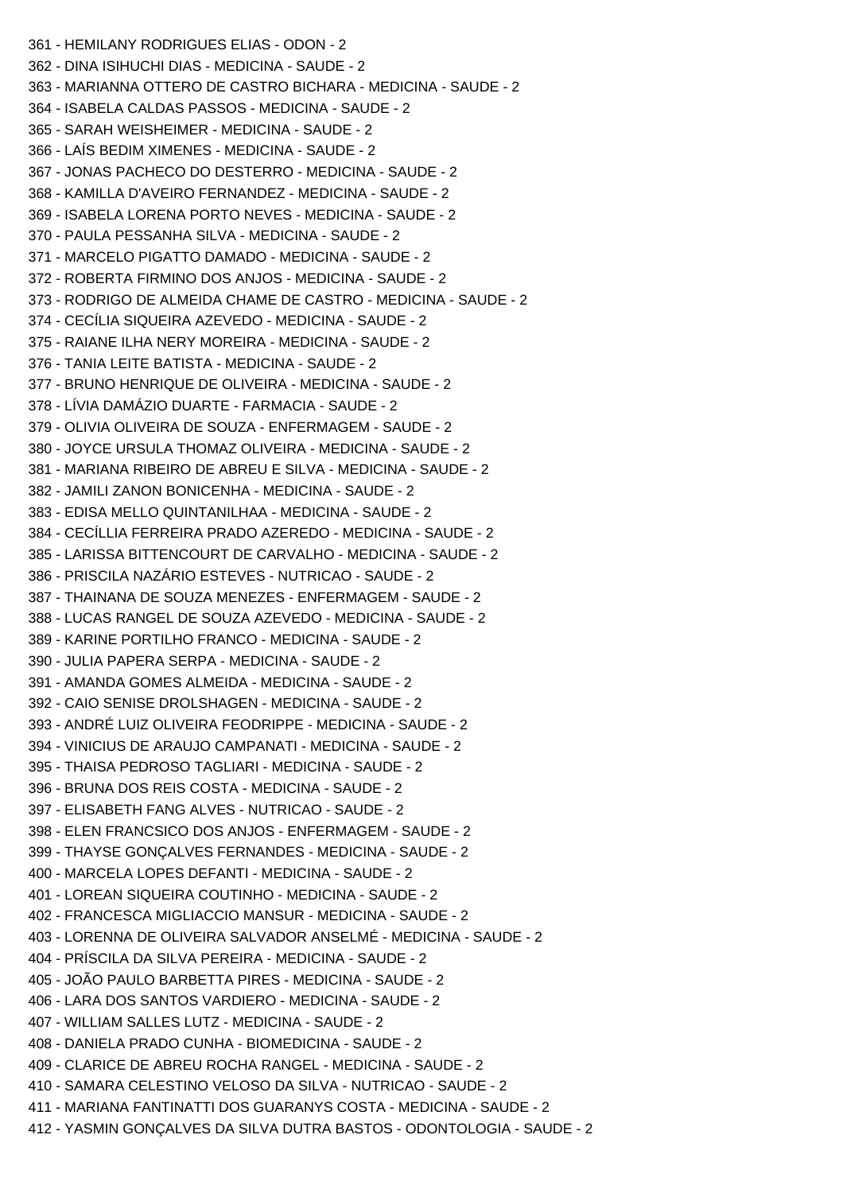361 - HEMILANY RODRIGUES ELIAS - ODON - 2 362 - DINA ISIHUCHI DIAS - MEDICINA - SAUDE - 2 363 - MARIANNA OTTERO DE CASTRO BICHARA - MEDICINA - SAUDE - 2 364 - ISABELA CALDAS PASSOS - MEDICINA - SAUDE - 2 365 - SARAH WEISHEIMER - MEDICINA - SAUDE - 2 366 - LAÍS BEDIM XIMENES - MEDICINA - SAUDE - 2 367 - JONAS PACHECO DO DESTERRO - MEDICINA - SAUDE - 2 368 - KAMILLA D'AVEIRO FERNANDEZ - MEDICINA - SAUDE - 2 369 - ISABELA LORENA PORTO NEVES - MEDICINA - SAUDE - 2 370 - PAULA PESSANHA SILVA - MEDICINA - SAUDE - 2 371 - MARCELO PIGATTO DAMADO - MEDICINA - SAUDE - 2 372 - ROBERTA FIRMINO DOS ANJOS - MEDICINA - SAUDE - 2 373 - RODRIGO DE ALMEIDA CHAME DE CASTRO - MEDICINA - SAUDE - 2 374 - CECÍLIA SIQUEIRA AZEVEDO - MEDICINA - SAUDE - 2 375 - RAIANE ILHA NERY MOREIRA - MEDICINA - SAUDE - 2 376 - TANIA LEITE BATISTA - MEDICINA - SAUDE - 2 377 - BRUNO HENRIQUE DE OLIVEIRA - MEDICINA - SAUDE - 2 378 - LÍVIA DAMÁZIO DUARTE - FARMACIA - SAUDE - 2 379 - OLIVIA OLIVEIRA DE SOUZA - ENFERMAGEM - SAUDE - 2 380 - JOYCE URSULA THOMAZ OLIVEIRA - MEDICINA - SAUDE - 2 381 - MARIANA RIBEIRO DE ABREU E SILVA - MEDICINA - SAUDE - 2 382 - JAMILI ZANON BONICENHA - MEDICINA - SAUDE - 2 383 - EDISA MELLO QUINTANILHAA - MEDICINA - SAUDE - 2 384 - CECÍLLIA FERREIRA PRADO AZEREDO - MEDICINA - SAUDE - 2 385 - LARISSA BITTENCOURT DE CARVALHO - MEDICINA - SAUDE - 2 386 - PRISCILA NAZÁRIO ESTEVES - NUTRICAO - SAUDE - 2 387 - THAINANA DE SOUZA MENEZES - ENFERMAGEM - SAUDE - 2 388 - LUCAS RANGEL DE SOUZA AZEVEDO - MEDICINA - SAUDE - 2 389 - KARINE PORTILHO FRANCO - MEDICINA - SAUDE - 2 390 - JULIA PAPERA SERPA - MEDICINA - SAUDE - 2 391 - AMANDA GOMES ALMEIDA - MEDICINA - SAUDE - 2 392 - CAIO SENISE DROLSHAGEN - MEDICINA - SAUDE - 2 393 - ANDRÉ LUIZ OLIVEIRA FEODRIPPE - MEDICINA - SAUDE - 2 394 - VINICIUS DE ARAUJO CAMPANATI - MEDICINA - SAUDE - 2 395 - THAISA PEDROSO TAGLIARI - MEDICINA - SAUDE - 2 396 - BRUNA DOS REIS COSTA - MEDICINA - SAUDE - 2 397 - ELISABETH FANG ALVES - NUTRICAO - SAUDE - 2 398 - ELEN FRANCSICO DOS ANJOS - ENFERMAGEM - SAUDE - 2 399 - THAYSE GONÇALVES FERNANDES - MEDICINA - SAUDE - 2 400 - MARCELA LOPES DEFANTI - MEDICINA - SAUDE - 2 401 - LOREAN SIQUEIRA COUTINHO - MEDICINA - SAUDE - 2 402 - FRANCESCA MIGLIACCIO MANSUR - MEDICINA - SAUDE - 2 403 - LORENNA DE OLIVEIRA SALVADOR ANSELMÉ - MEDICINA - SAUDE - 2 404 - PRÍSCILA DA SILVA PEREIRA - MEDICINA - SAUDE - 2 405 - JOÃO PAULO BARBETTA PIRES - MEDICINA - SAUDE - 2 406 - LARA DOS SANTOS VARDIERO - MEDICINA - SAUDE - 2 407 - WILLIAM SALLES LUTZ - MEDICINA - SAUDE - 2 408 - DANIELA PRADO CUNHA - BIOMEDICINA - SAUDE - 2 409 - CLARICE DE ABREU ROCHA RANGEL - MEDICINA - SAUDE - 2 410 - SAMARA CELESTINO VELOSO DA SILVA - NUTRICAO - SAUDE - 2 411 - MARIANA FANTINATTI DOS GUARANYS COSTA - MEDICINA - SAUDE - 2 412 - YASMIN GONÇALVES DA SILVA DUTRA BASTOS - ODONTOLOGIA - SAUDE - 2